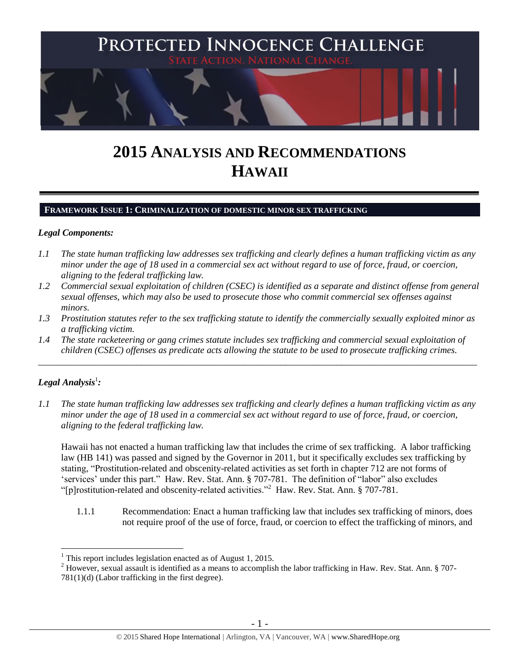

# **2015 ANALYSIS AND RECOMMENDATIONS HAWAII**

#### **FRAMEWORK ISSUE 1: CRIMINALIZATION OF DOMESTIC MINOR SEX TRAFFICKING**

#### *Legal Components:*

- *1.1 The state human trafficking law addresses sex trafficking and clearly defines a human trafficking victim as any minor under the age of 18 used in a commercial sex act without regard to use of force, fraud, or coercion, aligning to the federal trafficking law.*
- *1.2 Commercial sexual exploitation of children (CSEC) is identified as a separate and distinct offense from general sexual offenses, which may also be used to prosecute those who commit commercial sex offenses against minors.*
- *1.3 Prostitution statutes refer to the sex trafficking statute to identify the commercially sexually exploited minor as a trafficking victim.*
- *1.4 The state racketeering or gang crimes statute includes sex trafficking and commercial sexual exploitation of children (CSEC) offenses as predicate acts allowing the statute to be used to prosecute trafficking crimes.*

\_\_\_\_\_\_\_\_\_\_\_\_\_\_\_\_\_\_\_\_\_\_\_\_\_\_\_\_\_\_\_\_\_\_\_\_\_\_\_\_\_\_\_\_\_\_\_\_\_\_\_\_\_\_\_\_\_\_\_\_\_\_\_\_\_\_\_\_\_\_\_\_\_\_\_\_\_\_\_\_\_\_\_\_\_\_\_\_\_\_\_\_\_\_

# $\bm{L}$ egal Analysis $^1$ :

 $\overline{a}$ 

*1.1 The state human trafficking law addresses sex trafficking and clearly defines a human trafficking victim as any minor under the age of 18 used in a commercial sex act without regard to use of force, fraud, or coercion, aligning to the federal trafficking law.*

Hawaii has not enacted a human trafficking law that includes the crime of sex trafficking. A labor trafficking law (HB 141) was passed and signed by the Governor in 2011, but it specifically excludes sex trafficking by stating, "Prostitution-related and obscenity-related activities as set forth in chapter 712 are not forms of 'services' under this part." Haw. Rev. Stat. Ann. § 707-781. The definition of "labor" also excludes "[p]rostitution-related and obscenity-related activities."<sup>2</sup> Haw. Rev. Stat. Ann. § 707-781.

1.1.1 Recommendation: Enact a human trafficking law that includes sex trafficking of minors, does not require proof of the use of force, fraud, or coercion to effect the trafficking of minors, and

 $<sup>1</sup>$  This report includes legislation enacted as of August 1, 2015.</sup>

 $2$  However, sexual assault is identified as a means to accomplish the labor trafficking in Haw. Rev. Stat. Ann. § 707-781(1)(d) (Labor trafficking in the first degree).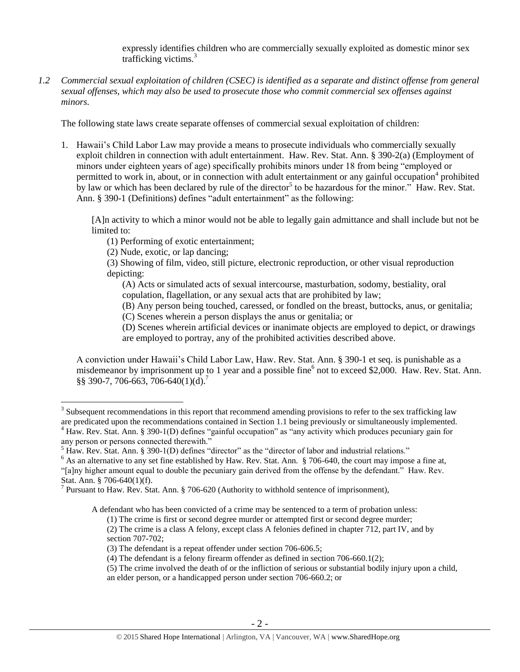expressly identifies children who are commercially sexually exploited as domestic minor sex trafficking victims.<sup>3</sup>

*1.2 Commercial sexual exploitation of children (CSEC) is identified as a separate and distinct offense from general sexual offenses, which may also be used to prosecute those who commit commercial sex offenses against minors.*

The following state laws create separate offenses of commercial sexual exploitation of children:

1. Hawaii's Child Labor Law may provide a means to prosecute individuals who commercially sexually exploit children in connection with adult entertainment. Haw. Rev. Stat. Ann. § 390-2(a) (Employment of minors under eighteen years of age) specifically prohibits minors under 18 from being "employed or permitted to work in, about, or in connection with adult entertainment or any gainful occupation<sup>4</sup> prohibited by law or which has been declared by rule of the director<sup>5</sup> to be hazardous for the minor." Haw. Rev. Stat. Ann. § 390-1 (Definitions) defines "adult entertainment" as the following:

[A]n activity to which a minor would not be able to legally gain admittance and shall include but not be limited to:

(1) Performing of exotic entertainment;

(2) Nude, exotic, or lap dancing;

(3) Showing of film, video, still picture, electronic reproduction, or other visual reproduction depicting:

(A) Acts or simulated acts of sexual intercourse, masturbation, sodomy, bestiality, oral copulation, flagellation, or any sexual acts that are prohibited by law;

(B) Any person being touched, caressed, or fondled on the breast, buttocks, anus, or genitalia;

(C) Scenes wherein a person displays the anus or genitalia; or

(D) Scenes wherein artificial devices or inanimate objects are employed to depict, or drawings are employed to portray, any of the prohibited activities described above.

A conviction under Hawaii's Child Labor Law, Haw. Rev. Stat. Ann. § 390-1 et seq. is punishable as a misdemeanor by imprisonment up to 1 year and a possible fine<sup>6</sup> not to exceed \$2,000. Haw. Rev. Stat. Ann. §§ 390-7, 706-663, 706-640(1)(d).<sup>7</sup>

 $\overline{a}$ 

"[a]ny higher amount equal to double the pecuniary gain derived from the offense by the defendant." Haw. Rev. Stat. Ann. § 706-640(1)(f).

A defendant who has been convicted of a crime may be sentenced to a term of probation unless:

 $3$  Subsequent recommendations in this report that recommend amending provisions to refer to the sex trafficking law are predicated upon the recommendations contained in Section 1.1 being previously or simultaneously implemented.  $4$  Haw. Rev. Stat. Ann. § 390-1(D) defines "gainful occupation" as "any activity which produces pecuniary gain for

any person or persons connected therewith."

 $<sup>5</sup>$  Haw. Rev. Stat. Ann. § 390-1(D) defines "director" as the "director of labor and industrial relations."</sup>

<sup>&</sup>lt;sup>6</sup> As an alternative to any set fine established by Haw. Rev. Stat. Ann. § 706-640, the court may impose a fine at,

<sup>&</sup>lt;sup>7</sup> Pursuant to Haw. Rev. Stat. Ann. § 706-620 (Authority to withhold sentence of imprisonment),

<sup>(1)</sup> The crime is first or second degree murder or attempted first or second degree murder;

<sup>(2)</sup> The crime is a class A felony, except class A felonies defined in chapter 712, part IV, and by section 707-702;

<sup>(3)</sup> The defendant is a repeat offender under section 706-606.5;

<sup>(4)</sup> The defendant is a felony firearm offender as defined in section 706-660.1(2);

<sup>(5)</sup> The crime involved the death of or the infliction of serious or substantial bodily injury upon a child, an elder person, or a handicapped person under section 706-660.2; or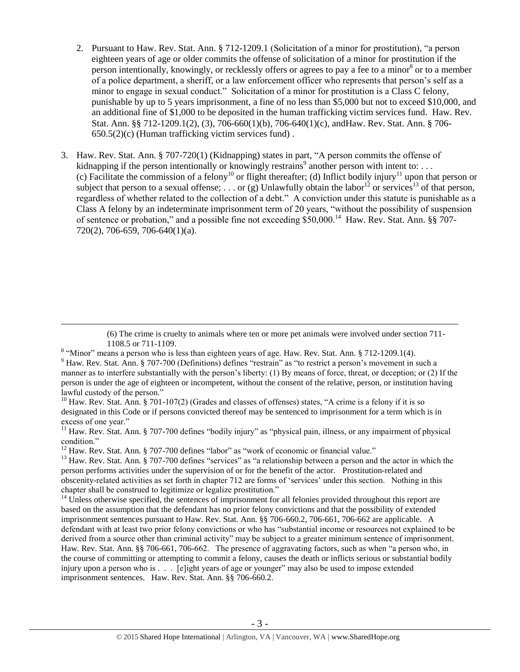- <span id="page-2-0"></span>2. Pursuant to Haw. Rev. Stat. Ann. § 712-1209.1 (Solicitation of a minor for prostitution), "a person eighteen years of age or older commits the offense of solicitation of a minor for prostitution if the person intentionally, knowingly, or recklessly offers or agrees to pay a fee to a minor<sup>8</sup> or to a member of a police department, a sheriff, or a law enforcement officer who represents that person's self as a minor to engage in sexual conduct." Solicitation of a minor for prostitution is a Class C felony, punishable by up to 5 years imprisonment, a fine of no less than \$5,000 but not to exceed \$10,000, and an additional fine of \$1,000 to be deposited in the human trafficking victim services fund. Haw. Rev. Stat. Ann. §§ 712-1209.1(2), (3), 706-660(1)(b), 706-640(1)(c), andHaw. Rev. Stat. Ann. § 706- 650.5(2)(c) (Human trafficking victim services fund) .
- 3. Haw. Rev. Stat. Ann. § 707-720(1) (Kidnapping) states in part, "A person commits the offense of kidnapping if the person intentionally or knowingly restrains<sup>9</sup> another person with intent to: ... (c) Facilitate the commission of a felony<sup>10</sup> or flight thereafter; (d) Inflict bodily injury<sup>11</sup> upon that person or subject that person to a sexual offense; ... or (g) Unlawfully obtain the labor<sup>12</sup> or services<sup>13</sup> of that person, regardless of whether related to the collection of a debt." A conviction under this statute is punishable as a Class A felony by an indeterminate imprisonment term of 20 years, "without the possibility of suspension of sentence or probation," and a possible fine not exceeding  $$50,000$ .<sup>14</sup> Haw. Rev. Stat. Ann. §§ 707-720(2), 706-659, 706-640(1)(a).

(6) The crime is cruelty to animals where ten or more pet animals were involved under section 711- 1108.5 or 711-1109.

<sup>10</sup> Haw. Rev. Stat. Ann. § 701-107(2) (Grades and classes of offenses) states, "A crime is a felony if it is so designated in this Code or if persons convicted thereof may be sentenced to imprisonment for a term which is in excess of one year."

 $11$  Haw. Rev. Stat. Ann. § 707-700 defines "bodily injury" as "physical pain, illness, or any impairment of physical condition."

<sup>12</sup> Haw. Rev. Stat. Ann. § 707-700 defines "labor" as "work of economic or financial value."

 $\overline{a}$ 

<sup>13</sup> Haw. Rev. Stat. Ann. § 707-700 defines "services" as "a relationship between a person and the actor in which the person performs activities under the supervision of or for the benefit of the actor. Prostitution-related and obscenity-related activities as set forth in chapter 712 are forms of 'services' under this section. Nothing in this chapter shall be construed to legitimize or legalize prostitution."

 $14$  Unless otherwise specified, the sentences of imprisonment for all felonies provided throughout this report are based on the assumption that the defendant has no prior felony convictions and that the possibility of extended imprisonment sentences pursuant to Haw. Rev. Stat. Ann. §§ 706-660.2, 706-661, 706-662 are applicable. A defendant with at least two prior felony convictions or who has "substantial income or resources not explained to be derived from a source other than criminal activity" may be subject to a greater minimum sentence of imprisonment. Haw. Rev. Stat. Ann. §§ 706-661, 706-662. The presence of aggravating factors, such as when "a person who, in the course of committing or attempting to commit a felony, causes the death or inflicts serious or substantial bodily injury upon a person who is . . . [e]ight years of age or younger" may also be used to impose extended imprisonment sentences. Haw. Rev. Stat. Ann. §§ 706-660.2.

<sup>&</sup>lt;sup>8</sup> "Minor" means a person who is less than eighteen years of age. Haw. Rev. Stat. Ann. § 712-1209.1(4). <sup>9</sup> Haw. Rev. Stat. Ann. § 707-700 (Definitions) defines "restrain" as "to restrict a person's movement in such a manner as to interfere substantially with the person's liberty: (1) By means of force, threat, or deception; or (2) If the person is under the age of eighteen or incompetent, without the consent of the relative, person, or institution having lawful custody of the person."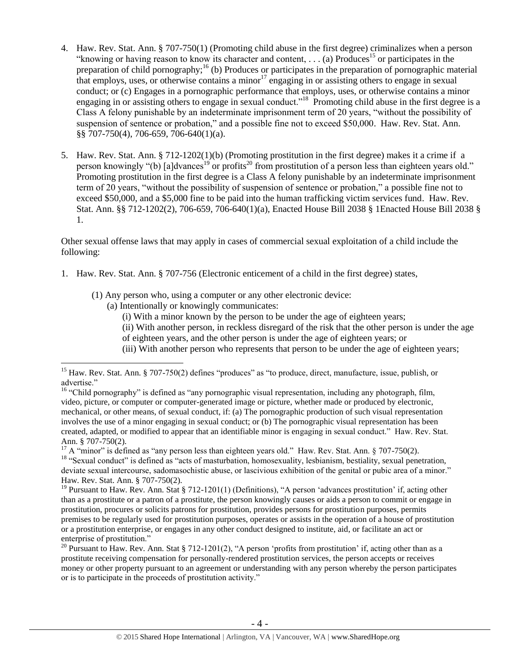- <span id="page-3-0"></span>4. Haw. Rev. Stat. Ann. § 707-750(1) (Promoting child abuse in the first degree) criminalizes when a person "knowing or having reason to know its character and content,  $\ldots$  (a) Produces<sup>15</sup> or participates in the preparation of child pornography;<sup>16</sup> (b) Produces or participates in the preparation of pornographic material that employs, uses, or otherwise contains a minor<sup>17</sup> engaging in or assisting others to engage in sexual conduct; or (c) Engages in a pornographic performance that employs, uses, or otherwise contains a minor engaging in or assisting others to engage in sexual conduct."<sup>18</sup> Promoting child abuse in the first degree is a Class A felony punishable by an indeterminate imprisonment term of 20 years, "without the possibility of suspension of sentence or probation," and a possible fine not to exceed \$50,000. Haw. Rev. Stat. Ann. §§ 707-750(4), 706-659, 706-640(1)(a).
- <span id="page-3-2"></span><span id="page-3-1"></span>5. Haw. Rev. Stat. Ann. § 712-1202(1)(b) (Promoting prostitution in the first degree) makes it a crime if a person knowingly "(b) [a]dvances<sup>19</sup> or profits<sup>20</sup> from prostitution of a person less than eighteen years old." Promoting prostitution in the first degree is a Class A felony punishable by an indeterminate imprisonment term of 20 years, "without the possibility of suspension of sentence or probation," a possible fine not to exceed \$50,000, and a \$5,000 fine to be paid into the human trafficking victim services fund. Haw. Rev. Stat. Ann. §§ 712-1202(2), 706-659, 706-640(1)(a), Enacted House Bill 2038 § 1Enacted House Bill 2038 § 1.

Other sexual offense laws that may apply in cases of commercial sexual exploitation of a child include the following:

- 1. Haw. Rev. Stat. Ann. § 707-756 (Electronic enticement of a child in the first degree) states,
	- (1) Any person who, using a computer or any other electronic device:
		- (a) Intentionally or knowingly communicates:

 $\overline{a}$ 

- (i) With a minor known by the person to be under the age of eighteen years;
- (ii) With another person, in reckless disregard of the risk that the other person is under the age
- of eighteen years, and the other person is under the age of eighteen years; or
- (iii) With another person who represents that person to be under the age of eighteen years;

<sup>&</sup>lt;sup>15</sup> Haw. Rev. Stat. Ann. § 707-750(2) defines "produces" as "to produce, direct, manufacture, issue, publish, or advertise."

<sup>&</sup>lt;sup>16</sup> "Child pornography" is defined as "any pornographic visual representation, including any photograph, film, video, picture, or computer or computer-generated image or picture, whether made or produced by electronic, mechanical, or other means, of sexual conduct, if: (a) The pornographic production of such visual representation involves the use of a minor engaging in sexual conduct; or (b) The pornographic visual representation has been created, adapted, or modified to appear that an identifiable minor is engaging in sexual conduct." Haw. Rev. Stat. Ann. § 707-750(2).

<sup>&</sup>lt;sup>17</sup> A "minor" is defined as "any person less than eighteen years old." Haw. Rev. Stat. Ann. § 707-750(2). <sup>18</sup> "Sexual conduct" is defined as "acts of masturbation, homosexuality, lesbianism, bestiality, sexual penetration, deviate sexual intercourse, sadomasochistic abuse, or lascivious exhibition of the genital or pubic area of a minor." Haw. Rev. Stat. Ann. § 707-750(2).

<sup>&</sup>lt;sup>19</sup> Pursuant to Haw. Rev. Ann. Stat § 712-1201(1) (Definitions), "A person 'advances prostitution' if, acting other than as a prostitute or a patron of a prostitute, the person knowingly causes or aids a person to commit or engage in prostitution, procures or solicits patrons for prostitution, provides persons for prostitution purposes, permits premises to be regularly used for prostitution purposes, operates or assists in the operation of a house of prostitution or a prostitution enterprise, or engages in any other conduct designed to institute, aid, or facilitate an act or enterprise of prostitution."

<sup>&</sup>lt;sup>20</sup> Pursuant to Haw. Rev. Ann. Stat § 712-1201(2), "A person 'profits from prostitution' if, acting other than as a prostitute receiving compensation for personally-rendered prostitution services, the person accepts or receives money or other property pursuant to an agreement or understanding with any person whereby the person participates or is to participate in the proceeds of prostitution activity."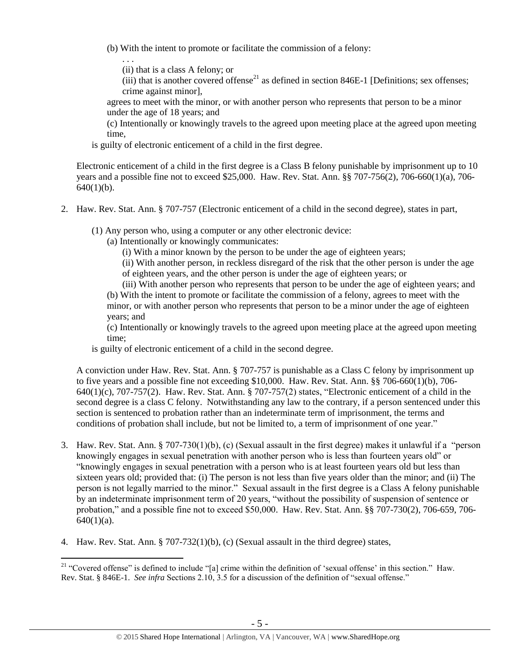(b) With the intent to promote or facilitate the commission of a felony:

(ii) that is a class A felony; or

. . .

 $\overline{a}$ 

(iii) that is another covered offense<sup>21</sup> as defined in section 846E-1 [Definitions; sex offenses; crime against minor],

agrees to meet with the minor, or with another person who represents that person to be a minor under the age of 18 years; and

(c) Intentionally or knowingly travels to the agreed upon meeting place at the agreed upon meeting time,

is guilty of electronic enticement of a child in the first degree.

Electronic enticement of a child in the first degree is a Class B felony punishable by imprisonment up to 10 years and a possible fine not to exceed \$25,000. Haw. Rev. Stat. Ann. §§ 707-756(2), 706-660(1)(a), 706-  $640(1)(b)$ .

2. Haw. Rev. Stat. Ann. § 707-757 (Electronic enticement of a child in the second degree), states in part,

(1) Any person who, using a computer or any other electronic device:

(a) Intentionally or knowingly communicates:

(i) With a minor known by the person to be under the age of eighteen years;

(ii) With another person, in reckless disregard of the risk that the other person is under the age of eighteen years, and the other person is under the age of eighteen years; or

(iii) With another person who represents that person to be under the age of eighteen years; and (b) With the intent to promote or facilitate the commission of a felony, agrees to meet with the minor, or with another person who represents that person to be a minor under the age of eighteen years; and

(c) Intentionally or knowingly travels to the agreed upon meeting place at the agreed upon meeting time;

is guilty of electronic enticement of a child in the second degree.

A conviction under Haw. Rev. Stat. Ann. § 707-757 is punishable as a Class C felony by imprisonment up to five years and a possible fine not exceeding \$10,000. Haw. Rev. Stat. Ann. §§ 706-660(1)(b), 706- 640(1)(c), 707-757(2). Haw. Rev. Stat. Ann. § 707-757(2) states, "Electronic enticement of a child in the second degree is a class C felony. Notwithstanding any law to the contrary, if a person sentenced under this section is sentenced to probation rather than an indeterminate term of imprisonment, the terms and conditions of probation shall include, but not be limited to, a term of imprisonment of one year."

- 3. Haw. Rev. Stat. Ann. § 707-730(1)(b), (c) (Sexual assault in the first degree) makes it unlawful if a "person knowingly engages in sexual penetration with another person who is less than fourteen years old" or "knowingly engages in sexual penetration with a person who is at least fourteen years old but less than sixteen years old; provided that: (i) The person is not less than five years older than the minor; and (ii) The person is not legally married to the minor." Sexual assault in the first degree is a Class A felony punishable by an indeterminate imprisonment term of 20 years, "without the possibility of suspension of sentence or probation," and a possible fine not to exceed \$50,000. Haw. Rev. Stat. Ann. §§ 707-730(2), 706-659, 706-  $640(1)(a)$ .
- 4. Haw. Rev. Stat. Ann. § 707-732(1)(b), (c) (Sexual assault in the third degree) states,

<sup>&</sup>lt;sup>21</sup> "Covered offense" is defined to include "[a] crime within the definition of 'sexual offense' in this section." Haw. Rev. Stat. § 846E-1. *See infra* Sections 2.10, 3.5 for a discussion of the definition of "sexual offense."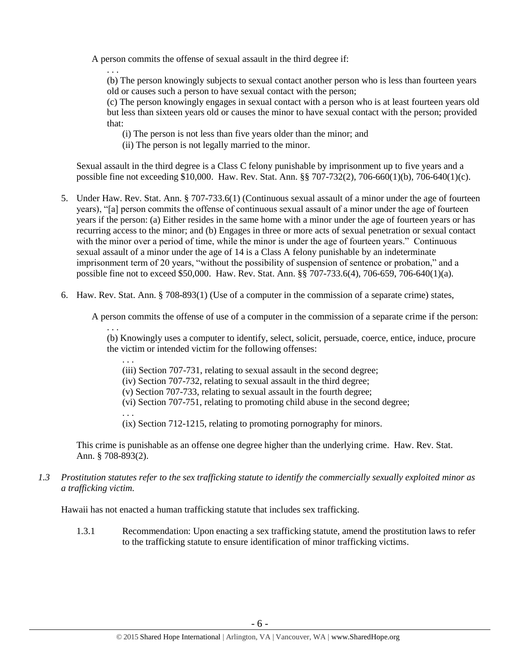A person commits the offense of sexual assault in the third degree if:

. . . (b) The person knowingly subjects to sexual contact another person who is less than fourteen years old or causes such a person to have sexual contact with the person;

(c) The person knowingly engages in sexual contact with a person who is at least fourteen years old but less than sixteen years old or causes the minor to have sexual contact with the person; provided that:

- (i) The person is not less than five years older than the minor; and
- (ii) The person is not legally married to the minor.

Sexual assault in the third degree is a Class C felony punishable by imprisonment up to five years and a possible fine not exceeding \$10,000. Haw. Rev. Stat. Ann. §§ 707-732(2), 706-660(1)(b), 706-640(1)(c).

- 5. Under Haw. Rev. Stat. Ann. § 707-733.6(1) (Continuous sexual assault of a minor under the age of fourteen years), "[a] person commits the offense of continuous sexual assault of a minor under the age of fourteen years if the person: (a) Either resides in the same home with a minor under the age of fourteen years or has recurring access to the minor; and (b) Engages in three or more acts of sexual penetration or sexual contact with the minor over a period of time, while the minor is under the age of fourteen years." Continuous sexual assault of a minor under the age of 14 is a Class A felony punishable by an indeterminate imprisonment term of 20 years, "without the possibility of suspension of sentence or probation," and a possible fine not to exceed \$50,000. Haw. Rev. Stat. Ann. §§ 707-733.6(4), 706-659, 706-640(1)(a).
- 6. Haw. Rev. Stat. Ann. § 708-893(1) (Use of a computer in the commission of a separate crime) states,

A person commits the offense of use of a computer in the commission of a separate crime if the person:

(b) Knowingly uses a computer to identify, select, solicit, persuade, coerce, entice, induce, procure the victim or intended victim for the following offenses:

. . . (iii) Section 707-731, relating to sexual assault in the second degree;

(iv) Section 707-732, relating to sexual assault in the third degree;

(v) Section 707-733, relating to sexual assault in the fourth degree;

(vi) Section 707-751, relating to promoting child abuse in the second degree;

. . . (ix) Section 712-1215, relating to promoting pornography for minors.

This crime is punishable as an offense one degree higher than the underlying crime. Haw. Rev. Stat. Ann. § 708-893(2).

*1.3 Prostitution statutes refer to the sex trafficking statute to identify the commercially sexually exploited minor as a trafficking victim.* 

Hawaii has not enacted a human trafficking statute that includes sex trafficking.

. . .

1.3.1 Recommendation: Upon enacting a sex trafficking statute, amend the prostitution laws to refer to the trafficking statute to ensure identification of minor trafficking victims.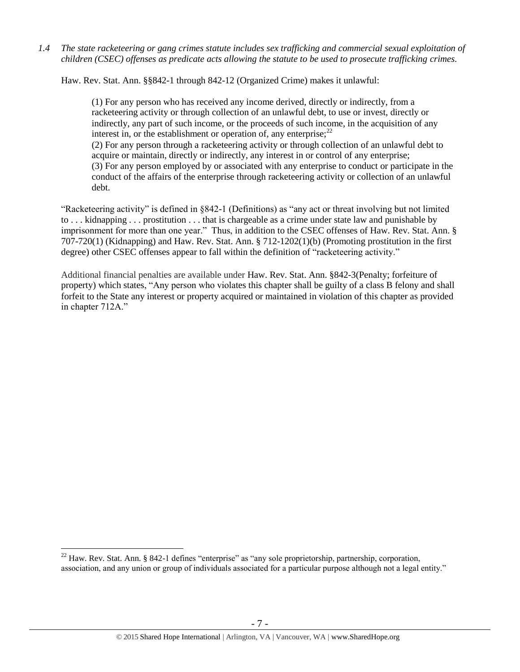*1.4 The state racketeering or gang crimes statute includes sex trafficking and commercial sexual exploitation of children (CSEC) offenses as predicate acts allowing the statute to be used to prosecute trafficking crimes.* 

Haw. Rev. Stat. Ann. §§842-1 through 842-12 (Organized Crime) makes it unlawful:

(1) For any person who has received any income derived, directly or indirectly, from a racketeering activity or through collection of an unlawful debt, to use or invest, directly or indirectly, any part of such income, or the proceeds of such income, in the acquisition of any interest in, or the establishment or operation of, any enterprise;  $2^2$ 

(2) For any person through a racketeering activity or through collection of an unlawful debt to acquire or maintain, directly or indirectly, any interest in or control of any enterprise; (3) For any person employed by or associated with any enterprise to conduct or participate in the conduct of the affairs of the enterprise through racketeering activity or collection of an unlawful debt.

"Racketeering activity" is defined in §842-1 (Definitions) as "any act or threat involving but not limited to . . . kidnapping . . . prostitution . . . that is chargeable as a crime under state law and punishable by imprisonment for more than one year." Thus, in addition to the CSEC offenses of Haw. Rev. Stat. Ann. § 707-720(1) (Kidnapping) and Haw. Rev. Stat. Ann. § 712-1202(1)(b) (Promoting prostitution in the first degree) other CSEC offenses appear to fall within the definition of "racketeering activity."

Additional financial penalties are available under Haw. Rev. Stat. Ann. §842-3(Penalty; forfeiture of property) which states, "Any person who violates this chapter shall be guilty of a class B felony and shall forfeit to the State any interest or property acquired or maintained in violation of this chapter as provided in chapter 712A."

 $\overline{a}$ 

 $22$  Haw. Rev. Stat. Ann. § 842-1 defines "enterprise" as "any sole proprietorship, partnership, corporation, association, and any union or group of individuals associated for a particular purpose although not a legal entity."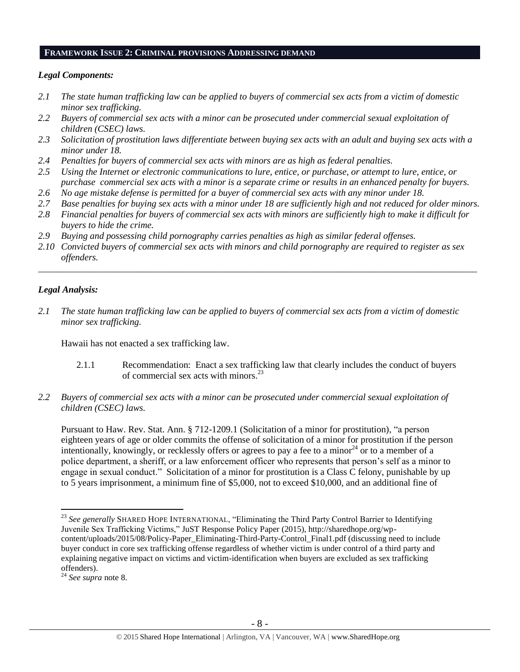#### **FRAMEWORK ISSUE 2: CRIMINAL PROVISIONS ADDRESSING DEMAND**

#### *Legal Components:*

- *2.1 The state human trafficking law can be applied to buyers of commercial sex acts from a victim of domestic minor sex trafficking.*
- *2.2 Buyers of commercial sex acts with a minor can be prosecuted under commercial sexual exploitation of children (CSEC) laws.*
- *2.3 Solicitation of prostitution laws differentiate between buying sex acts with an adult and buying sex acts with a minor under 18.*
- *2.4 Penalties for buyers of commercial sex acts with minors are as high as federal penalties.*
- *2.5 Using the Internet or electronic communications to lure, entice, or purchase, or attempt to lure, entice, or purchase commercial sex acts with a minor is a separate crime or results in an enhanced penalty for buyers.*
- *2.6 No age mistake defense is permitted for a buyer of commercial sex acts with any minor under 18.*
- *2.7 Base penalties for buying sex acts with a minor under 18 are sufficiently high and not reduced for older minors.*
- *2.8 Financial penalties for buyers of commercial sex acts with minors are sufficiently high to make it difficult for buyers to hide the crime.*
- *2.9 Buying and possessing child pornography carries penalties as high as similar federal offenses.*
- *2.10 Convicted buyers of commercial sex acts with minors and child pornography are required to register as sex offenders.*

\_\_\_\_\_\_\_\_\_\_\_\_\_\_\_\_\_\_\_\_\_\_\_\_\_\_\_\_\_\_\_\_\_\_\_\_\_\_\_\_\_\_\_\_\_\_\_\_\_\_\_\_\_\_\_\_\_\_\_\_\_\_\_\_\_\_\_\_\_\_\_\_\_\_\_\_\_\_\_\_\_\_\_\_\_\_\_\_\_\_\_\_\_\_

# *Legal Analysis:*

*2.1 The state human trafficking law can be applied to buyers of commercial sex acts from a victim of domestic minor sex trafficking.* 

Hawaii has not enacted a sex trafficking law.

- 2.1.1 Recommendation: Enact a sex trafficking law that clearly includes the conduct of buyers of commercial sex acts with minors.<sup>23</sup>
- *2.2 Buyers of commercial sex acts with a minor can be prosecuted under commercial sexual exploitation of children (CSEC) laws.*

Pursuant to Haw. Rev. Stat. Ann. § 712-1209.1 (Solicitation of a minor for prostitution), "a person eighteen years of age or older commits the offense of solicitation of a minor for prostitution if the person intentionally, knowingly, or recklessly offers or agrees to pay a fee to a minor<sup>24</sup> or to a member of a police department, a sheriff, or a law enforcement officer who represents that person's self as a minor to engage in sexual conduct." Solicitation of a minor for prostitution is a Class C felony, punishable by up to 5 years imprisonment, a minimum fine of \$5,000, not to exceed \$10,000, and an additional fine of

 $\overline{a}$ <sup>23</sup> See generally SHARED HOPE INTERNATIONAL, "Eliminating the Third Party Control Barrier to Identifying Juvenile Sex Trafficking Victims," JuST Response Policy Paper (2015), http://sharedhope.org/wpcontent/uploads/2015/08/Policy-Paper\_Eliminating-Third-Party-Control\_Final1.pdf (discussing need to include buyer conduct in core sex trafficking offense regardless of whether victim is under control of a third party and explaining negative impact on victims and victim-identification when buyers are excluded as sex trafficking offenders).

<sup>24</sup> *See supra* note [8.](#page-2-0)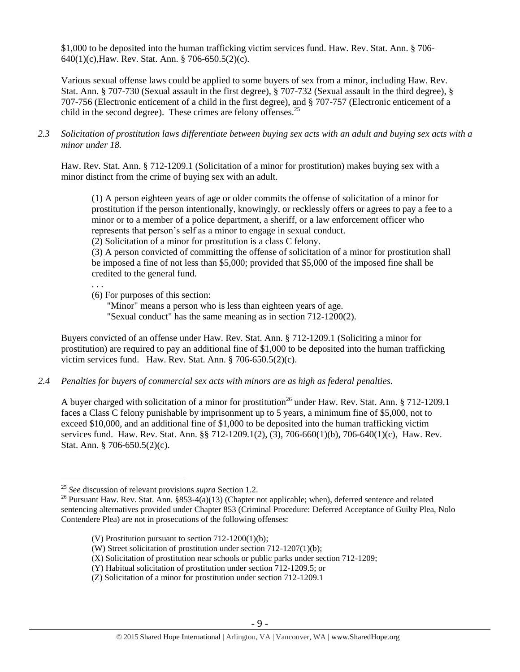\$1,000 to be deposited into the human trafficking victim services fund. Haw. Rev. Stat. Ann. § 706- 640(1)(c),Haw. Rev. Stat. Ann. § 706-650.5(2)(c).

Various sexual offense laws could be applied to some buyers of sex from a minor, including Haw. Rev. Stat. Ann. § 707-730 (Sexual assault in the first degree), § 707-732 (Sexual assault in the third degree), § 707-756 (Electronic enticement of a child in the first degree), and § 707-757 (Electronic enticement of a child in the second degree). These crimes are felony offenses. $^{25}$ 

*2.3 Solicitation of prostitution laws differentiate between buying sex acts with an adult and buying sex acts with a minor under 18.*

Haw. Rev. Stat. Ann. § 712-1209.1 (Solicitation of a minor for prostitution) makes buying sex with a minor distinct from the crime of buying sex with an adult.

(1) A person eighteen years of age or older commits the offense of solicitation of a minor for prostitution if the person intentionally, knowingly, or recklessly offers or agrees to pay a fee to a minor or to a member of a police department, a sheriff, or a law enforcement officer who represents that person's self as a minor to engage in sexual conduct.

(2) Solicitation of a minor for prostitution is a class C felony.

(3) A person convicted of committing the offense of solicitation of a minor for prostitution shall be imposed a fine of not less than \$5,000; provided that \$5,000 of the imposed fine shall be credited to the general fund.

. . . (6) For purposes of this section:

> "Minor" means a person who is less than eighteen years of age. "Sexual conduct" has the same meaning as in section 712-1200(2).

Buyers convicted of an offense under Haw. Rev. Stat. Ann. § 712-1209.1 (Soliciting a minor for prostitution) are required to pay an additional fine of \$1,000 to be deposited into the human trafficking victim services fund. Haw. Rev. Stat. Ann. § 706-650.5(2)(c).

*2.4 Penalties for buyers of commercial sex acts with minors are as high as federal penalties.*

A buyer charged with solicitation of a minor for prostitution<sup>26</sup> under Haw. Rev. Stat. Ann. § 712-1209.1 faces a Class C felony punishable by imprisonment up to 5 years, a minimum fine of \$5,000, not to exceed \$10,000, and an additional fine of \$1,000 to be deposited into the human trafficking victim services fund. Haw. Rev. Stat. Ann. §§ 712-1209.1(2), (3), 706-660(1)(b), 706-640(1)(c), Haw. Rev. Stat. Ann. § 706-650.5(2)(c).

 $\overline{a}$ 

- (V) Prostitution pursuant to section 712-1200(1)(b);
- (W) Street solicitation of prostitution under section 712-1207(1)(b);
- (X) Solicitation of prostitution near schools or public parks under section 712-1209;
- (Y) Habitual solicitation of prostitution under section 712-1209.5; or
- (Z) Solicitation of a minor for prostitution under section 712-1209.1

<sup>25</sup> *See* discussion of relevant provisions *supra* Section 1.2.

<sup>&</sup>lt;sup>26</sup> Pursuant Haw. Rev. Stat. Ann. §853-4(a)(13) (Chapter not applicable; when), deferred sentence and related sentencing alternatives provided under Chapter 853 (Criminal Procedure: Deferred Acceptance of Guilty Plea, Nolo Contendere Plea) are not in prosecutions of the following offenses: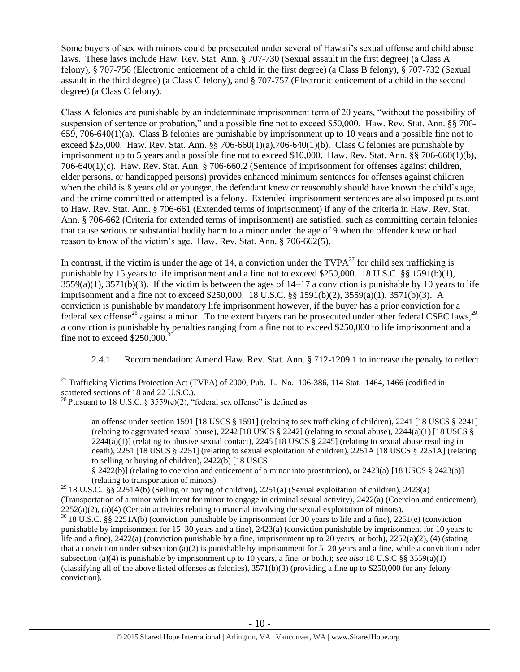Some buyers of sex with minors could be prosecuted under several of Hawaii's sexual offense and child abuse laws. These laws include Haw. Rev. Stat. Ann. § 707-730 (Sexual assault in the first degree) (a Class A felony), § 707-756 (Electronic enticement of a child in the first degree) (a Class B felony), § 707-732 (Sexual assault in the third degree) (a Class C felony), and § 707-757 (Electronic enticement of a child in the second degree) (a Class C felony).

Class A felonies are punishable by an indeterminate imprisonment term of 20 years, "without the possibility of suspension of sentence or probation," and a possible fine not to exceed \$50,000. Haw. Rev. Stat. Ann. §§ 706- 659, 706-640(1)(a). Class B felonies are punishable by imprisonment up to 10 years and a possible fine not to exceed \$25,000. Haw. Rev. Stat. Ann. §§ 706-660(1)(a),706-640(1)(b). Class C felonies are punishable by imprisonment up to 5 years and a possible fine not to exceed \$10,000. Haw. Rev. Stat. Ann. §§ 706-660(1)(b), 706-640(1)(c). Haw. Rev. Stat. Ann. § 706-660.2 (Sentence of imprisonment for offenses against children, elder persons, or handicapped persons) provides enhanced minimum sentences for offenses against children when the child is 8 years old or younger, the defendant knew or reasonably should have known the child's age, and the crime committed or attempted is a felony. Extended imprisonment sentences are also imposed pursuant to Haw. Rev. Stat. Ann. § 706-661 (Extended terms of imprisonment) if any of the criteria in Haw. Rev. Stat. Ann. § 706-662 (Criteria for extended terms of imprisonment) are satisfied, such as committing certain felonies that cause serious or substantial bodily harm to a minor under the age of 9 when the offender knew or had reason to know of the victim's age. Haw. Rev. Stat. Ann. § 706-662(5).

In contrast, if the victim is under the age of 14, a conviction under the  $TVPA^{27}$  for child sex trafficking is punishable by 15 years to life imprisonment and a fine not to exceed \$250,000. 18 U.S.C. §§ 1591(b)(1),  $3559(a)(1)$ ,  $3571(b)(3)$ . If the victim is between the ages of  $14-17$  a conviction is punishable by 10 years to life imprisonment and a fine not to exceed \$250,000. 18 U.S.C. §§ 1591(b)(2), 3559(a)(1), 3571(b)(3). A conviction is punishable by mandatory life imprisonment however, if the buyer has a prior conviction for a federal sex offense<sup>28</sup> against a minor. To the extent buyers can be prosecuted under other federal CSEC laws,<sup>29</sup> a conviction is punishable by penalties ranging from a fine not to exceed \$250,000 to life imprisonment and a fine not to exceed  $$250,000$ .<sup>3</sup>

<span id="page-9-1"></span><span id="page-9-0"></span>2.4.1 Recommendation: Amend Haw. Rev. Stat. Ann. § 712-1209.1 to increase the penalty to reflect

 $\overline{a}$ 

§ 2422(b)] (relating to coercion and enticement of a minor into prostitution), or 2423(a) [18 USCS § 2423(a)] (relating to transportation of minors).

<sup>29</sup> 18 U.S.C. §§ 2251A(b) (Selling or buying of children), 2251(a) (Sexual exploitation of children), 2423(a) (Transportation of a minor with intent for minor to engage in criminal sexual activity), 2422(a) (Coercion and enticement),  $2252(a)(2)$ , (a)(4) (Certain activities relating to material involving the sexual exploitation of minors).

<sup>30</sup> 18 U.S.C. §§ 2251A(b) (conviction punishable by imprisonment for 30 years to life and a fine), 2251(e) (conviction punishable by imprisonment for 15–30 years and a fine), 2423(a) (conviction punishable by imprisonment for 10 years to life and a fine),  $2422(a)$  (conviction punishable by a fine, imprisonment up to 20 years, or both),  $2252(a)(2)$ , (4) (stating that a conviction under subsection (a)(2) is punishable by imprisonment for  $5-20$  years and a fine, while a conviction under subsection (a)(4) is punishable by imprisonment up to 10 years, a fine, or both.); *see also* 18 U.S.C §§ 3559(a)(1) (classifying all of the above listed offenses as felonies), 3571(b)(3) (providing a fine up to \$250,000 for any felony conviction).

 $^{27}$  Trafficking Victims Protection Act (TVPA) of 2000, Pub. L. No. 106-386, 114 Stat. 1464, 1466 (codified in scattered sections of 18 and 22 U.S.C.).

<sup>&</sup>lt;sup>28</sup> Pursuant to 18 U.S.C. § 3559(e)(2), "federal sex offense" is defined as

an offense under section 1591 [18 USCS § 1591] (relating to sex trafficking of children), 2241 [18 USCS § 2241] (relating to aggravated sexual abuse),  $2242$  [18 USCS § 2242] (relating to sexual abuse),  $2244(a)(1)$  [18 USCS §  $2244(a)(1)$  (relating to abusive sexual contact),  $2245$  [18 USCS § 2245] (relating to sexual abuse resulting in death), 2251 [18 USCS § 2251] (relating to sexual exploitation of children), 2251A [18 USCS § 2251A] (relating to selling or buying of children), 2422(b) [18 USCS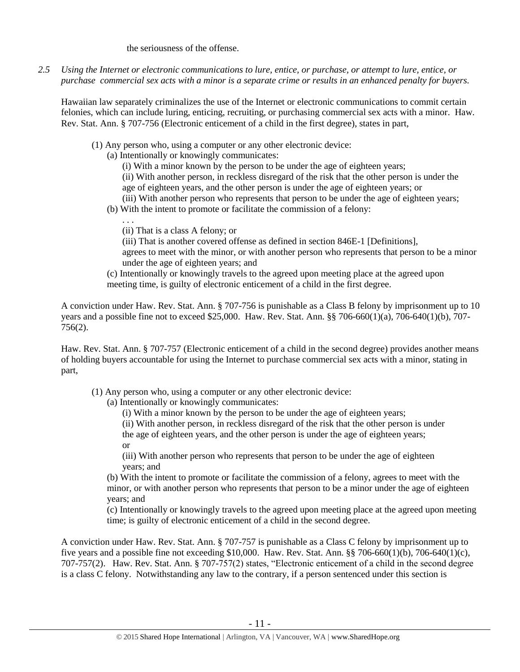the seriousness of the offense.

*2.5 Using the Internet or electronic communications to lure, entice, or purchase, or attempt to lure, entice, or purchase commercial sex acts with a minor is a separate crime or results in an enhanced penalty for buyers.*

Hawaiian law separately criminalizes the use of the Internet or electronic communications to commit certain felonies, which can include luring, enticing, recruiting, or purchasing commercial sex acts with a minor. Haw. Rev. Stat. Ann. § 707-756 (Electronic enticement of a child in the first degree), states in part,

- (1) Any person who, using a computer or any other electronic device:
	- (a) Intentionally or knowingly communicates:

(i) With a minor known by the person to be under the age of eighteen years; (ii) With another person, in reckless disregard of the risk that the other person is under the age of eighteen years, and the other person is under the age of eighteen years; or (iii) With another person who represents that person to be under the age of eighteen years;

(b) With the intent to promote or facilitate the commission of a felony:

(ii) That is a class A felony; or

. . .

(iii) That is another covered offense as defined in section 846E-1 [Definitions], agrees to meet with the minor, or with another person who represents that person to be a minor under the age of eighteen years; and

(c) Intentionally or knowingly travels to the agreed upon meeting place at the agreed upon meeting time, is guilty of electronic enticement of a child in the first degree.

A conviction under Haw. Rev. Stat. Ann. § 707-756 is punishable as a Class B felony by imprisonment up to 10 years and a possible fine not to exceed \$25,000. Haw. Rev. Stat. Ann. §§ 706-660(1)(a), 706-640(1)(b), 707- 756(2).

Haw. Rev. Stat. Ann. § 707-757 (Electronic enticement of a child in the second degree) provides another means of holding buyers accountable for using the Internet to purchase commercial sex acts with a minor, stating in part,

(1) Any person who, using a computer or any other electronic device:

(a) Intentionally or knowingly communicates:

(i) With a minor known by the person to be under the age of eighteen years;

(ii) With another person, in reckless disregard of the risk that the other person is under the age of eighteen years, and the other person is under the age of eighteen years; or

(iii) With another person who represents that person to be under the age of eighteen years; and

(b) With the intent to promote or facilitate the commission of a felony, agrees to meet with the minor, or with another person who represents that person to be a minor under the age of eighteen years; and

(c) Intentionally or knowingly travels to the agreed upon meeting place at the agreed upon meeting time; is guilty of electronic enticement of a child in the second degree.

A conviction under Haw. Rev. Stat. Ann. § 707-757 is punishable as a Class C felony by imprisonment up to five years and a possible fine not exceeding \$10,000. Haw. Rev. Stat. Ann. §§ 706-660(1)(b), 706-640(1)(c), 707-757(2). Haw. Rev. Stat. Ann. § 707-757(2) states, "Electronic enticement of a child in the second degree is a class C felony. Notwithstanding any law to the contrary, if a person sentenced under this section is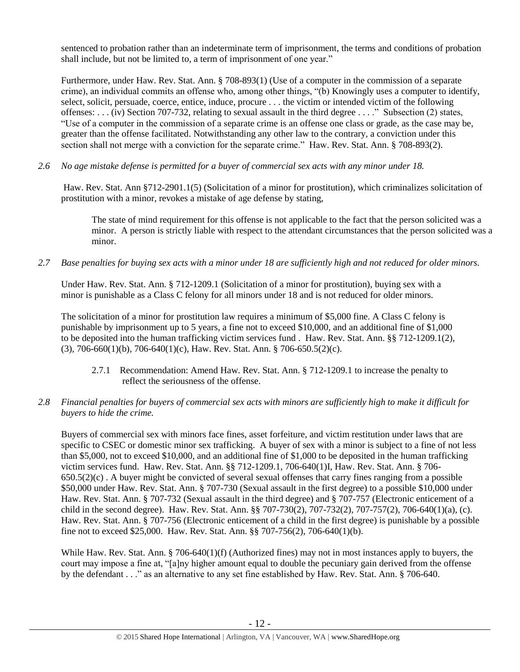sentenced to probation rather than an indeterminate term of imprisonment, the terms and conditions of probation shall include, but not be limited to, a term of imprisonment of one year."

Furthermore, under Haw. Rev. Stat. Ann. § 708-893(1) (Use of a computer in the commission of a separate crime), an individual commits an offense who, among other things, "(b) Knowingly uses a computer to identify, select, solicit, persuade, coerce, entice, induce, procure . . . the victim or intended victim of the following offenses: . . . (iv) Section 707-732, relating to sexual assault in the third degree . . . ." Subsection (2) states, "Use of a computer in the commission of a separate crime is an offense one class or grade, as the case may be, greater than the offense facilitated. Notwithstanding any other law to the contrary, a conviction under this section shall not merge with a conviction for the separate crime." Haw. Rev. Stat. Ann. § 708-893(2).

*2.6 No age mistake defense is permitted for a buyer of commercial sex acts with any minor under 18.*

Haw. Rev. Stat. Ann §712-2901.1(5) (Solicitation of a minor for prostitution), which criminalizes solicitation of prostitution with a minor, revokes a mistake of age defense by stating,

The state of mind requirement for this offense is not applicable to the fact that the person solicited was a minor. A person is strictly liable with respect to the attendant circumstances that the person solicited was a minor.

*2.7 Base penalties for buying sex acts with a minor under 18 are sufficiently high and not reduced for older minors.*

Under Haw. Rev. Stat. Ann. § 712-1209.1 (Solicitation of a minor for prostitution), buying sex with a minor is punishable as a Class C felony for all minors under 18 and is not reduced for older minors.

The solicitation of a minor for prostitution law requires a minimum of \$5,000 fine. A Class C felony is punishable by imprisonment up to 5 years, a fine not to exceed \$10,000, and an additional fine of \$1,000 to be deposited into the human trafficking victim services fund . Haw. Rev. Stat. Ann. §§ 712-1209.1(2), (3), 706-660(1)(b), 706-640(1)(c), Haw. Rev. Stat. Ann. § 706-650.5(2)(c).

- 2.7.1 Recommendation: Amend Haw. Rev. Stat. Ann. § 712-1209.1 to increase the penalty to reflect the seriousness of the offense.
- *2.8 Financial penalties for buyers of commercial sex acts with minors are sufficiently high to make it difficult for buyers to hide the crime.*

Buyers of commercial sex with minors face fines, asset forfeiture, and victim restitution under laws that are specific to CSEC or domestic minor sex trafficking. A buyer of sex with a minor is subject to a fine of not less than \$5,000, not to exceed \$10,000, and an additional fine of \$1,000 to be deposited in the human trafficking victim services fund. Haw. Rev. Stat. Ann. §§ 712-1209.1, 706-640(1)I, Haw. Rev. Stat. Ann. § 706-  $650.5(2)(c)$ . A buyer might be convicted of several sexual offenses that carry fines ranging from a possible \$50,000 under Haw. Rev. Stat. Ann. § 707-730 (Sexual assault in the first degree) to a possible \$10,000 under Haw. Rev. Stat. Ann. § 707-732 (Sexual assault in the third degree) and § 707-757 (Electronic enticement of a child in the second degree). Haw. Rev. Stat. Ann. §§ 707-730(2), 707-732(2), 707-757(2), 706-640(1)(a), (c). Haw. Rev. Stat. Ann. § 707-756 (Electronic enticement of a child in the first degree) is punishable by a possible fine not to exceed \$25,000. Haw. Rev. Stat. Ann. §§ 707-756(2), 706-640(1)(b).

While Haw. Rev. Stat. Ann. § 706-640(1)(f) (Authorized fines) may not in most instances apply to buyers, the court may impose a fine at, "[a]ny higher amount equal to double the pecuniary gain derived from the offense by the defendant . . ." as an alternative to any set fine established by Haw. Rev. Stat. Ann. § 706-640.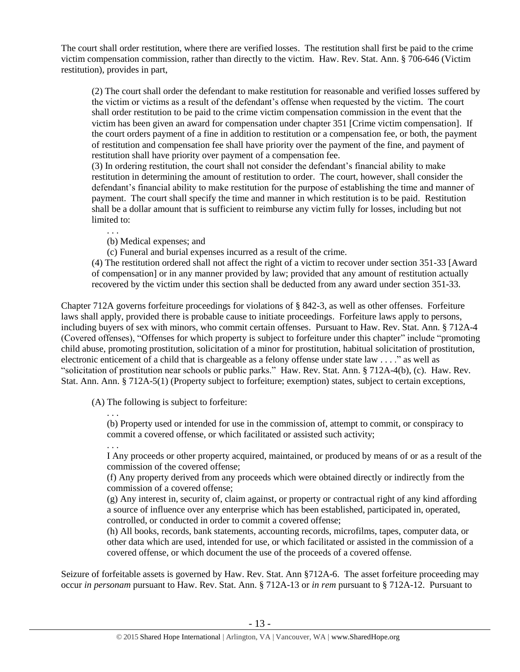The court shall order restitution, where there are verified losses. The restitution shall first be paid to the crime victim compensation commission, rather than directly to the victim. Haw. Rev. Stat. Ann. § 706-646 (Victim restitution), provides in part,

(2) The court shall order the defendant to make restitution for reasonable and verified losses suffered by the victim or victims as a result of the defendant's offense when requested by the victim. The court shall order restitution to be paid to the crime victim compensation commission in the event that the victim has been given an award for compensation under chapter 351 [Crime victim compensation]. If the court orders payment of a fine in addition to restitution or a compensation fee, or both, the payment of restitution and compensation fee shall have priority over the payment of the fine, and payment of restitution shall have priority over payment of a compensation fee.

(3) In ordering restitution, the court shall not consider the defendant's financial ability to make restitution in determining the amount of restitution to order. The court, however, shall consider the defendant's financial ability to make restitution for the purpose of establishing the time and manner of payment. The court shall specify the time and manner in which restitution is to be paid. Restitution shall be a dollar amount that is sufficient to reimburse any victim fully for losses, including but not limited to:

(b) Medical expenses; and

(c) Funeral and burial expenses incurred as a result of the crime.

(4) The restitution ordered shall not affect the right of a victim to recover under section 351-33 [Award of compensation] or in any manner provided by law; provided that any amount of restitution actually recovered by the victim under this section shall be deducted from any award under section 351-33.

Chapter 712A governs forfeiture proceedings for violations of § 842-3, as well as other offenses. Forfeiture laws shall apply, provided there is probable cause to initiate proceedings. Forfeiture laws apply to persons, including buyers of sex with minors, who commit certain offenses. Pursuant to Haw. Rev. Stat. Ann. § 712A-4 (Covered offenses), "Offenses for which property is subject to forfeiture under this chapter" include "promoting child abuse, promoting prostitution, solicitation of a minor for prostitution, habitual solicitation of prostitution, electronic enticement of a child that is chargeable as a felony offense under state law . . . ." as well as "solicitation of prostitution near schools or public parks." Haw. Rev. Stat. Ann. § 712A-4(b), (c). Haw. Rev. Stat. Ann. Ann. § 712A-5(1) (Property subject to forfeiture; exemption) states, subject to certain exceptions,

(A) The following is subject to forfeiture:

. . . (b) Property used or intended for use in the commission of, attempt to commit, or conspiracy to commit a covered offense, or which facilitated or assisted such activity;

. . .

. . .

I Any proceeds or other property acquired, maintained, or produced by means of or as a result of the commission of the covered offense;

(f) Any property derived from any proceeds which were obtained directly or indirectly from the commission of a covered offense;

(g) Any interest in, security of, claim against, or property or contractual right of any kind affording a source of influence over any enterprise which has been established, participated in, operated, controlled, or conducted in order to commit a covered offense;

(h) All books, records, bank statements, accounting records, microfilms, tapes, computer data, or other data which are used, intended for use, or which facilitated or assisted in the commission of a covered offense, or which document the use of the proceeds of a covered offense.

Seizure of forfeitable assets is governed by Haw. Rev. Stat. Ann §712A-6. The asset forfeiture proceeding may occur *in personam* pursuant to Haw. Rev. Stat. Ann. § 712A-13 or *in rem* pursuant to § 712A-12. Pursuant to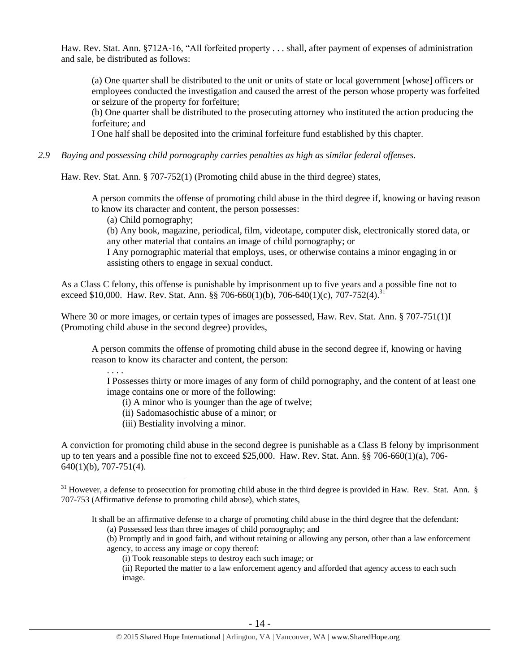Haw. Rev. Stat. Ann. §712A-16, "All forfeited property . . . shall, after payment of expenses of administration and sale, be distributed as follows:

(a) One quarter shall be distributed to the unit or units of state or local government [whose] officers or employees conducted the investigation and caused the arrest of the person whose property was forfeited or seizure of the property for forfeiture;

(b) One quarter shall be distributed to the prosecuting attorney who instituted the action producing the forfeiture; and

I One half shall be deposited into the criminal forfeiture fund established by this chapter.

*2.9 Buying and possessing child pornography carries penalties as high as similar federal offenses.*

Haw. Rev. Stat. Ann. § 707-752(1) (Promoting child abuse in the third degree) states,

A person commits the offense of promoting child abuse in the third degree if, knowing or having reason to know its character and content, the person possesses:

(a) Child pornography;

. . . .

 $\overline{a}$ 

(b) Any book, magazine, periodical, film, videotape, computer disk, electronically stored data, or any other material that contains an image of child pornography; or

I Any pornographic material that employs, uses, or otherwise contains a minor engaging in or assisting others to engage in sexual conduct.

As a Class C felony, this offense is punishable by imprisonment up to five years and a possible fine not to exceed \$10,000. Haw. Rev. Stat. Ann. §§ 706-660(1)(b), 706-640(1)(c), 707-752(4).<sup>31</sup>

Where 30 or more images, or certain types of images are possessed, Haw. Rev. Stat. Ann. § 707-751(1)I (Promoting child abuse in the second degree) provides,

A person commits the offense of promoting child abuse in the second degree if, knowing or having reason to know its character and content, the person:

I Possesses thirty or more images of any form of child pornography, and the content of at least one image contains one or more of the following:

(i) A minor who is younger than the age of twelve;

(ii) Sadomasochistic abuse of a minor; or

(iii) Bestiality involving a minor.

A conviction for promoting child abuse in the second degree is punishable as a Class B felony by imprisonment up to ten years and a possible fine not to exceed \$25,000. Haw. Rev. Stat. Ann. §§ 706-660(1)(a), 706- 640(1)(b), 707-751(4).

It shall be an affirmative defense to a charge of promoting child abuse in the third degree that the defendant: (a) Possessed less than three images of child pornography; and

(b) Promptly and in good faith, and without retaining or allowing any person, other than a law enforcement agency, to access any image or copy thereof:

(i) Took reasonable steps to destroy each such image; or

(ii) Reported the matter to a law enforcement agency and afforded that agency access to each such image.

 $31$  However, a defense to prosecution for promoting child abuse in the third degree is provided in Haw. Rev. Stat. Ann. § 707-753 (Affirmative defense to promoting child abuse), which states,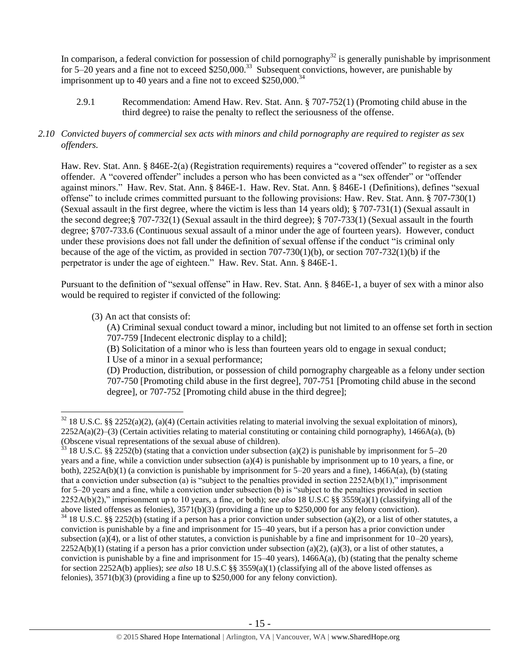In comparison, a federal conviction for possession of child pornography<sup>32</sup> is generally punishable by imprisonment for 5–20 years and a fine not to exceed  $$250,000$ .<sup>33</sup> Subsequent convictions, however, are punishable by imprisonment up to 40 years and a fine not to exceed  $$250,000.<sup>34</sup>$ 

2.9.1 Recommendation: Amend Haw. Rev. Stat. Ann. § 707-752(1) (Promoting child abuse in the third degree) to raise the penalty to reflect the seriousness of the offense.

## *2.10 Convicted buyers of commercial sex acts with minors and child pornography are required to register as sex offenders.*

Haw. Rev. Stat. Ann. § 846E-2(a) (Registration requirements) requires a "covered offender" to register as a sex offender. A "covered offender" includes a person who has been convicted as a "sex offender" or "offender against minors." Haw. Rev. Stat. Ann. § 846E-1. Haw. Rev. Stat. Ann. § 846E-1 (Definitions), defines "sexual offense" to include crimes committed pursuant to the following provisions: Haw. Rev. Stat. Ann. § 707-730(1) (Sexual assault in the first degree, where the victim is less than 14 years old); § 707-731(1) (Sexual assault in the second degree;§ 707-732(1) (Sexual assault in the third degree); § 707-733(1) (Sexual assault in the fourth degree; §707-733.6 (Continuous sexual assault of a minor under the age of fourteen years). However, conduct under these provisions does not fall under the definition of sexual offense if the conduct "is criminal only because of the age of the victim, as provided in section 707-730(1)(b), or section 707-732(1)(b) if the perpetrator is under the age of eighteen." Haw. Rev. Stat. Ann. § 846E-1.

Pursuant to the definition of "sexual offense" in Haw. Rev. Stat. Ann. § 846E-1, a buyer of sex with a minor also would be required to register if convicted of the following:

(3) An act that consists of:

 $\overline{a}$ 

(A) Criminal sexual conduct toward a minor, including but not limited to an offense set forth in section 707-759 [Indecent electronic display to a child];

(B) Solicitation of a minor who is less than fourteen years old to engage in sexual conduct;

I Use of a minor in a sexual performance;

(D) Production, distribution, or possession of child pornography chargeable as a felony under section 707-750 [Promoting child abuse in the first degree], 707-751 [Promoting child abuse in the second degree], or 707-752 [Promoting child abuse in the third degree];

 $32\,18$  U.S.C. §§ 2252(a)(2), (a)(4) (Certain activities relating to material involving the sexual exploitation of minors),  $2252A(a)(2)$ –(3) (Certain activities relating to material constituting or containing child pornography), 1466A(a), (b) (Obscene visual representations of the sexual abuse of children).

 $33$  18 U.S.C. §§ 2252(b) (stating that a conviction under subsection (a)(2) is punishable by imprisonment for 5–20 years and a fine, while a conviction under subsection (a)(4) is punishable by imprisonment up to 10 years, a fine, or both),  $2252A(b)(1)$  (a conviction is punishable by imprisonment for  $5-20$  years and a fine),  $1466A(a)$ , (b) (stating that a conviction under subsection (a) is "subject to the penalties provided in section  $2252A(b)(1)$ ," imprisonment for 5–20 years and a fine, while a conviction under subsection (b) is "subject to the penalties provided in section 2252A(b)(2)," imprisonment up to 10 years, a fine, or both); *see also* 18 U.S.C §§ 3559(a)(1) (classifying all of the above listed offenses as felonies), 3571(b)(3) (providing a fine up to \$250,000 for any felony conviction).

 $34$  18 U.S.C. §§ 2252(b) (stating if a person has a prior conviction under subsection (a)(2), or a list of other statutes, a conviction is punishable by a fine and imprisonment for 15–40 years, but if a person has a prior conviction under subsection (a)(4), or a list of other statutes, a conviction is punishable by a fine and imprisonment for  $10-20$  years),  $2252A(b)(1)$  (stating if a person has a prior conviction under subsection (a)(2), (a)(3), or a list of other statutes, a conviction is punishable by a fine and imprisonment for  $15-40$  years),  $1466A(a)$ , (b) (stating that the penalty scheme for section 2252A(b) applies); *see also* 18 U.S.C §§ 3559(a)(1) (classifying all of the above listed offenses as felonies), 3571(b)(3) (providing a fine up to \$250,000 for any felony conviction).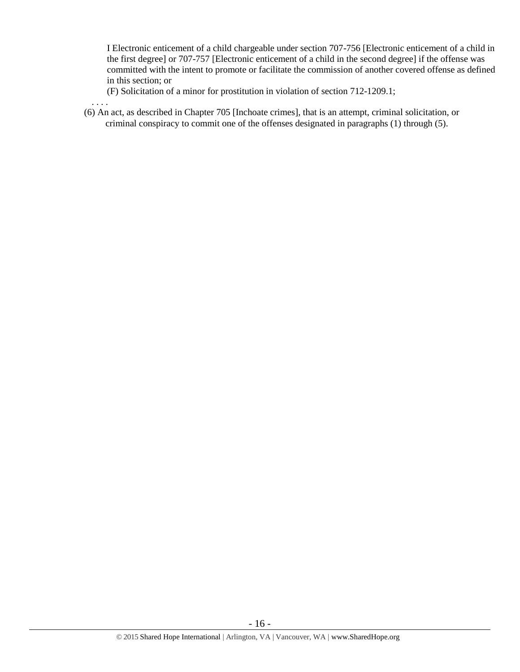I Electronic enticement of a child chargeable under section 707-756 [Electronic enticement of a child in the first degree] or 707-757 [Electronic enticement of a child in the second degree] if the offense was committed with the intent to promote or facilitate the commission of another covered offense as defined in this section; or

(F) Solicitation of a minor for prostitution in violation of section 712-1209.1;

. . . .

(6) An act, as described in Chapter 705 [Inchoate crimes], that is an attempt, criminal solicitation, or criminal conspiracy to commit one of the offenses designated in paragraphs (1) through (5).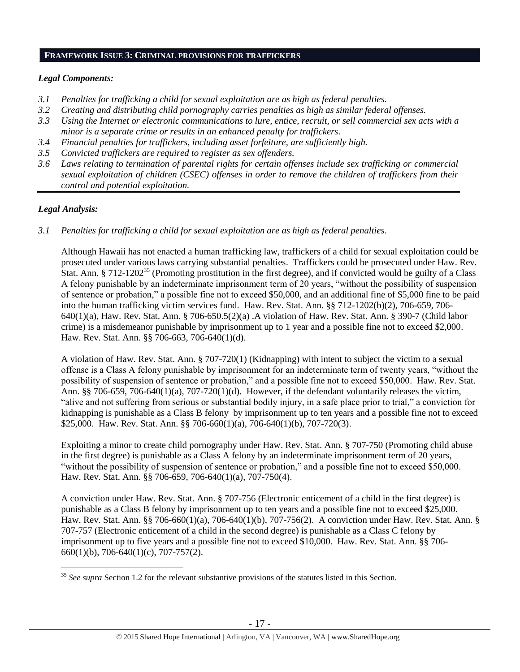#### **FRAMEWORK ISSUE 3: CRIMINAL PROVISIONS FOR TRAFFICKERS**

# *Legal Components:*

- *3.1 Penalties for trafficking a child for sexual exploitation are as high as federal penalties.*
- *3.2 Creating and distributing child pornography carries penalties as high as similar federal offenses.*
- *3.3 Using the Internet or electronic communications to lure, entice, recruit, or sell commercial sex acts with a minor is a separate crime or results in an enhanced penalty for traffickers.*
- *3.4 Financial penalties for traffickers, including asset forfeiture, are sufficiently high.*
- *3.5 Convicted traffickers are required to register as sex offenders.*
- *3.6 Laws relating to termination of parental rights for certain offenses include sex trafficking or commercial sexual exploitation of children (CSEC) offenses in order to remove the children of traffickers from their control and potential exploitation.*

# *Legal Analysis:*

*3.1 Penalties for trafficking a child for sexual exploitation are as high as federal penalties.* 

Although Hawaii has not enacted a human trafficking law, traffickers of a child for sexual exploitation could be prosecuted under various laws carrying substantial penalties. Traffickers could be prosecuted under Haw. Rev. Stat. Ann. § 712-1202<sup>35</sup> (Promoting prostitution in the first degree), and if convicted would be guilty of a Class A felony punishable by an indeterminate imprisonment term of 20 years, "without the possibility of suspension of sentence or probation," a possible fine not to exceed \$50,000, and an additional fine of \$5,000 fine to be paid into the human trafficking victim services fund. Haw. Rev. Stat. Ann. §§ 712-1202(b)(2), 706-659, 706- 640(1)(a), Haw. Rev. Stat. Ann. § 706-650.5(2)(a) .A violation of Haw. Rev. Stat. Ann. § 390-7 (Child labor crime) is a misdemeanor punishable by imprisonment up to 1 year and a possible fine not to exceed \$2,000. Haw. Rev. Stat. Ann. §§ 706-663, 706-640(1)(d).

A violation of Haw. Rev. Stat. Ann. § 707-720(1) (Kidnapping) with intent to subject the victim to a sexual offense is a Class A felony punishable by imprisonment for an indeterminate term of twenty years, "without the possibility of suspension of sentence or probation," and a possible fine not to exceed \$50,000. Haw. Rev. Stat. Ann. §§ 706-659, 706-640(1)(a), 707-720(1)(d). However, if the defendant voluntarily releases the victim, "alive and not suffering from serious or substantial bodily injury, in a safe place prior to trial," a conviction for kidnapping is punishable as a Class B felony by imprisonment up to ten years and a possible fine not to exceed \$25,000. Haw. Rev. Stat. Ann. §§ 706-660(1)(a), 706-640(1)(b), 707-720(3).

Exploiting a minor to create child pornography under Haw. Rev. Stat. Ann. § 707-750 (Promoting child abuse in the first degree) is punishable as a Class A felony by an indeterminate imprisonment term of 20 years, "without the possibility of suspension of sentence or probation," and a possible fine not to exceed \$50,000. Haw. Rev. Stat. Ann. §§ 706-659, 706-640(1)(a), 707-750(4).

A conviction under Haw. Rev. Stat. Ann. § 707-756 (Electronic enticement of a child in the first degree) is punishable as a Class B felony by imprisonment up to ten years and a possible fine not to exceed \$25,000. Haw. Rev. Stat. Ann. §§ 706-660(1)(a), 706-640(1)(b), 707-756(2). A conviction under Haw. Rev. Stat. Ann. § 707-757 (Electronic enticement of a child in the second degree) is punishable as a Class C felony by imprisonment up to five years and a possible fine not to exceed \$10,000. Haw. Rev. Stat. Ann. §§ 706- 660(1)(b), 706-640(1)(c), 707-757(2).

 $\overline{a}$ <sup>35</sup> See supra Section 1.2 for the relevant substantive provisions of the statutes listed in this Section.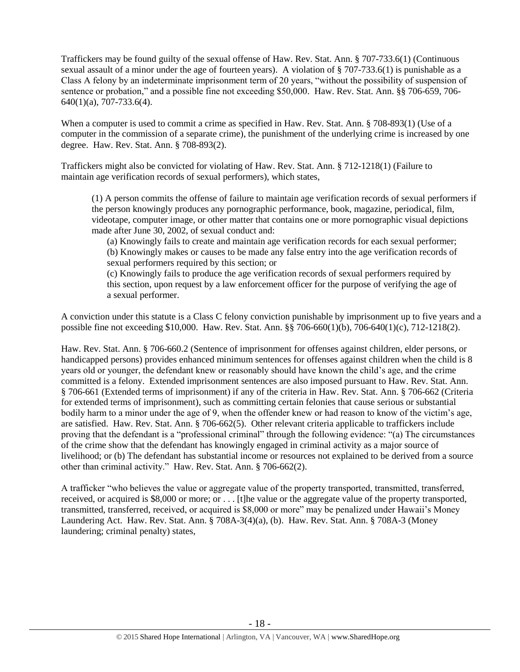Traffickers may be found guilty of the sexual offense of Haw. Rev. Stat. Ann. § 707-733.6(1) (Continuous sexual assault of a minor under the age of fourteen years). A violation of § 707-733.6(1) is punishable as a Class A felony by an indeterminate imprisonment term of 20 years, "without the possibility of suspension of sentence or probation," and a possible fine not exceeding \$50,000. Haw. Rev. Stat. Ann. §§ 706-659, 706- 640(1)(a), 707-733.6(4).

When a computer is used to commit a crime as specified in Haw. Rev. Stat. Ann. § 708-893(1) (Use of a computer in the commission of a separate crime), the punishment of the underlying crime is increased by one degree. Haw. Rev. Stat. Ann. § 708-893(2).

Traffickers might also be convicted for violating of Haw. Rev. Stat. Ann. § 712-1218(1) (Failure to maintain age verification records of sexual performers), which states,

(1) A person commits the offense of failure to maintain age verification records of sexual performers if the person knowingly produces any pornographic performance, book, magazine, periodical, film, videotape, computer image, or other matter that contains one or more pornographic visual depictions made after June 30, 2002, of sexual conduct and:

(a) Knowingly fails to create and maintain age verification records for each sexual performer; (b) Knowingly makes or causes to be made any false entry into the age verification records of sexual performers required by this section; or

(c) Knowingly fails to produce the age verification records of sexual performers required by this section, upon request by a law enforcement officer for the purpose of verifying the age of a sexual performer.

A conviction under this statute is a Class C felony conviction punishable by imprisonment up to five years and a possible fine not exceeding \$10,000. Haw. Rev. Stat. Ann. §§ 706-660(1)(b), 706-640(1)(c), 712-1218(2).

Haw. Rev. Stat. Ann. § 706-660.2 (Sentence of imprisonment for offenses against children, elder persons, or handicapped persons) provides enhanced minimum sentences for offenses against children when the child is 8 years old or younger, the defendant knew or reasonably should have known the child's age, and the crime committed is a felony. Extended imprisonment sentences are also imposed pursuant to Haw. Rev. Stat. Ann. § 706-661 (Extended terms of imprisonment) if any of the criteria in Haw. Rev. Stat. Ann. § 706-662 (Criteria for extended terms of imprisonment), such as committing certain felonies that cause serious or substantial bodily harm to a minor under the age of 9, when the offender knew or had reason to know of the victim's age, are satisfied. Haw. Rev. Stat. Ann. § 706-662(5). Other relevant criteria applicable to traffickers include proving that the defendant is a "professional criminal" through the following evidence: "(a) The circumstances of the crime show that the defendant has knowingly engaged in criminal activity as a major source of livelihood; or (b) The defendant has substantial income or resources not explained to be derived from a source other than criminal activity." Haw. Rev. Stat. Ann. § 706-662(2).

A trafficker "who believes the value or aggregate value of the property transported, transmitted, transferred, received, or acquired is \$8,000 or more; or . . . [t]he value or the aggregate value of the property transported, transmitted, transferred, received, or acquired is \$8,000 or more" may be penalized under Hawaii's Money Laundering Act. Haw. Rev. Stat. Ann. § 708A-3(4)(a), (b). Haw. Rev. Stat. Ann. § 708A-3 (Money laundering; criminal penalty) states,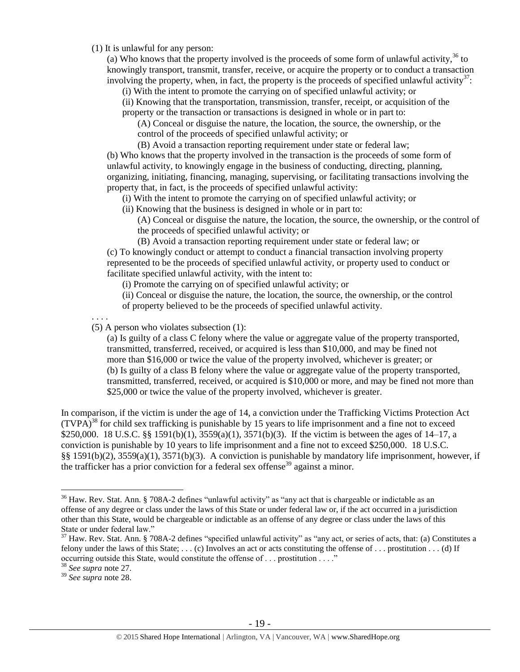(1) It is unlawful for any person:

(a) Who knows that the property involved is the proceeds of some form of unlawful activity,  $36$  to knowingly transport, transmit, transfer, receive, or acquire the property or to conduct a transaction involving the property, when, in fact, the property is the proceeds of specified unlawful activity<sup>37</sup>:

(i) With the intent to promote the carrying on of specified unlawful activity; or

(ii) Knowing that the transportation, transmission, transfer, receipt, or acquisition of the property or the transaction or transactions is designed in whole or in part to:

(A) Conceal or disguise the nature, the location, the source, the ownership, or the control of the proceeds of specified unlawful activity; or

(B) Avoid a transaction reporting requirement under state or federal law; (b) Who knows that the property involved in the transaction is the proceeds of some form of unlawful activity, to knowingly engage in the business of conducting, directing, planning, organizing, initiating, financing, managing, supervising, or facilitating transactions involving the property that, in fact, is the proceeds of specified unlawful activity:

(i) With the intent to promote the carrying on of specified unlawful activity; or

(ii) Knowing that the business is designed in whole or in part to:

(A) Conceal or disguise the nature, the location, the source, the ownership, or the control of the proceeds of specified unlawful activity; or

(B) Avoid a transaction reporting requirement under state or federal law; or (c) To knowingly conduct or attempt to conduct a financial transaction involving property represented to be the proceeds of specified unlawful activity, or property used to conduct or facilitate specified unlawful activity, with the intent to:

(i) Promote the carrying on of specified unlawful activity; or

(ii) Conceal or disguise the nature, the location, the source, the ownership, or the control of property believed to be the proceeds of specified unlawful activity.

. . . .

(5) A person who violates subsection (1):

(a) Is guilty of a class C felony where the value or aggregate value of the property transported, transmitted, transferred, received, or acquired is less than \$10,000, and may be fined not more than \$16,000 or twice the value of the property involved, whichever is greater; or (b) Is guilty of a class B felony where the value or aggregate value of the property transported, transmitted, transferred, received, or acquired is \$10,000 or more, and may be fined not more than \$25,000 or twice the value of the property involved, whichever is greater.

In comparison, if the victim is under the age of 14, a conviction under the Trafficking Victims Protection Act  $(TVPA)<sup>38</sup>$  for child sex trafficking is punishable by 15 years to life imprisonment and a fine not to exceed \$250,000. 18 U.S.C. §§ 1591(b)(1), 3559(a)(1), 3571(b)(3). If the victim is between the ages of 14–17, a conviction is punishable by 10 years to life imprisonment and a fine not to exceed \$250,000. 18 U.S.C. §§ 1591(b)(2), 3559(a)(1), 3571(b)(3). A conviction is punishable by mandatory life imprisonment, however, if the trafficker has a prior conviction for a federal sex offense<sup>39</sup> against a minor.

 $\overline{a}$ 

<sup>&</sup>lt;sup>36</sup> Haw. Rev. Stat. Ann. § 708A-2 defines "unlawful activity" as "any act that is chargeable or indictable as an offense of any degree or class under the laws of this State or under federal law or, if the act occurred in a jurisdiction other than this State, would be chargeable or indictable as an offense of any degree or class under the laws of this State or under federal law."

 $37$  Haw. Rev. Stat. Ann. § 708A-2 defines "specified unlawful activity" as "any act, or series of acts, that: (a) Constitutes a felony under the laws of this State;  $\dots$  (c) Involves an act or acts constituting the offense of  $\dots$  prostitution  $\dots$  (d) If occurring outside this State, would constitute the offense of . . . prostitution . . . ."

<sup>38</sup> *See supra* note [27.](#page-9-0) 

<sup>39</sup> *See supra* note [28.](#page-9-1)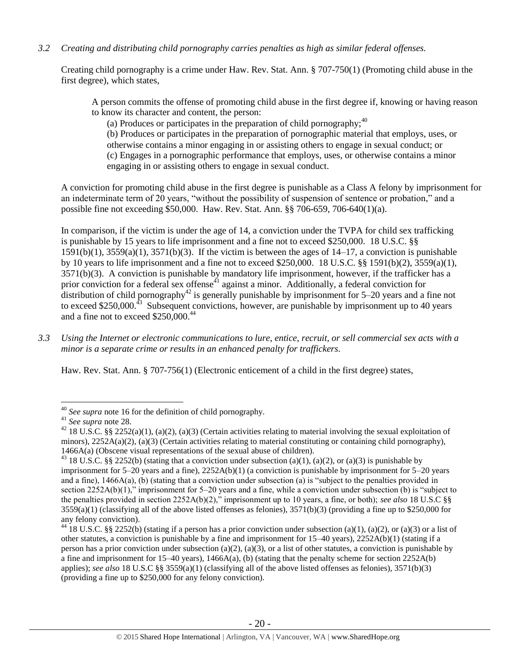# *3.2 Creating and distributing child pornography carries penalties as high as similar federal offenses.*

Creating child pornography is a crime under Haw. Rev. Stat. Ann. § 707-750(1) (Promoting child abuse in the first degree), which states,

A person commits the offense of promoting child abuse in the first degree if, knowing or having reason to know its character and content, the person:

(a) Produces or participates in the preparation of child pornography;  $40^{\circ}$ 

(b) Produces or participates in the preparation of pornographic material that employs, uses, or otherwise contains a minor engaging in or assisting others to engage in sexual conduct; or (c) Engages in a pornographic performance that employs, uses, or otherwise contains a minor engaging in or assisting others to engage in sexual conduct.

A conviction for promoting child abuse in the first degree is punishable as a Class A felony by imprisonment for an indeterminate term of 20 years, "without the possibility of suspension of sentence or probation," and a possible fine not exceeding \$50,000. Haw. Rev. Stat. Ann. §§ 706-659, 706-640(1)(a).

In comparison, if the victim is under the age of 14, a conviction under the TVPA for child sex trafficking is punishable by 15 years to life imprisonment and a fine not to exceed \$250,000. 18 U.S.C. §§  $1591(b)(1)$ ,  $3559(a)(1)$ ,  $3571(b)(3)$ . If the victim is between the ages of  $14-17$ , a conviction is punishable by 10 years to life imprisonment and a fine not to exceed \$250,000. 18 U.S.C. §§ 1591(b)(2), 3559(a)(1), 3571(b)(3). A conviction is punishable by mandatory life imprisonment, however, if the trafficker has a prior conviction for a federal sex offense<sup>41</sup> against a minor. Additionally, a federal conviction for distribution of child pornography<sup>42</sup> is generally punishable by imprisonment for 5–20 years and a fine not to exceed \$250,000.<sup>43</sup> Subsequent convictions, however, are punishable by imprisonment up to 40 years and a fine not to exceed \$250,000.<sup>44</sup>

*3.3 Using the Internet or electronic communications to lure, entice, recruit, or sell commercial sex acts with a minor is a separate crime or results in an enhanced penalty for traffickers.* 

Haw. Rev. Stat. Ann. § 707-756(1) (Electronic enticement of a child in the first degree) states,

 $\overline{a}$ 

<sup>40</sup> *See supra* note [16](#page-3-0) for the definition of child pornography.

<sup>41</sup> *See supra* note [28.](#page-9-1)

<sup>&</sup>lt;sup>42</sup> 18 U.S.C. §§ 2252(a)(1), (a)(2), (a)(3) (Certain activities relating to material involving the sexual exploitation of minors),  $2252A(a)(2)$ , (a)(3) (Certain activities relating to material constituting or containing child pornography), 1466A(a) (Obscene visual representations of the sexual abuse of children).

<sup>&</sup>lt;sup>43</sup> 18 U.S.C. §§ 2252(b) (stating that a conviction under subsection (a)(1), (a)(2), or (a)(3) is punishable by imprisonment for 5–20 years and a fine), 2252A(b)(1) (a conviction is punishable by imprisonment for 5–20 years and a fine), 1466A(a), (b) (stating that a conviction under subsection (a) is "subject to the penalties provided in section 2252A(b)(1)," imprisonment for 5–20 years and a fine, while a conviction under subsection (b) is "subject to the penalties provided in section 2252A(b)(2)," imprisonment up to 10 years, a fine, or both); *see also* 18 U.S.C §§  $3559(a)(1)$  (classifying all of the above listed offenses as felonies),  $3571(b)(3)$  (providing a fine up to \$250,000 for any felony conviction).

<sup>&</sup>lt;sup>44</sup> 18 U.S.C. §§ 2252(b) (stating if a person has a prior conviction under subsection (a)(1), (a)(2), or (a)(3) or a list of other statutes, a conviction is punishable by a fine and imprisonment for  $15-40$  years),  $2252A(b)(1)$  (stating if a person has a prior conviction under subsection (a)(2), (a)(3), or a list of other statutes, a conviction is punishable by a fine and imprisonment for 15–40 years), 1466A(a), (b) (stating that the penalty scheme for section 2252A(b) applies); *see also* 18 U.S.C §§ 3559(a)(1) (classifying all of the above listed offenses as felonies), 3571(b)(3) (providing a fine up to \$250,000 for any felony conviction).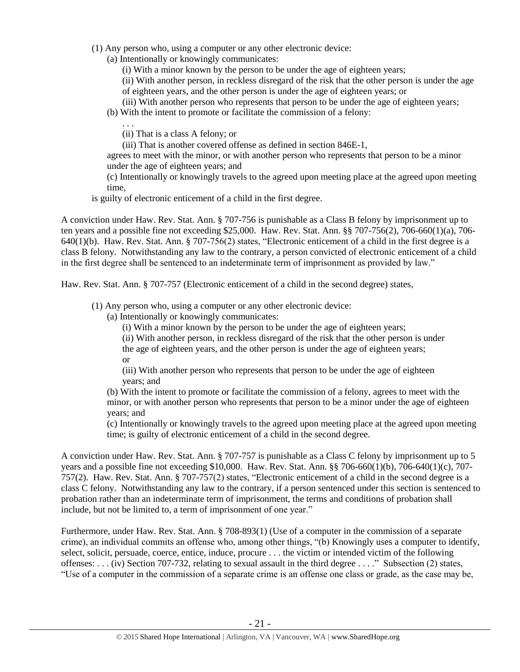- (1) Any person who, using a computer or any other electronic device:
	- (a) Intentionally or knowingly communicates:

(i) With a minor known by the person to be under the age of eighteen years;

(ii) With another person, in reckless disregard of the risk that the other person is under the age of eighteen years, and the other person is under the age of eighteen years; or

- (iii) With another person who represents that person to be under the age of eighteen years;
- (b) With the intent to promote or facilitate the commission of a felony:

(ii) That is a class A felony; or

. . .

(iii) That is another covered offense as defined in section 846E-1,

agrees to meet with the minor, or with another person who represents that person to be a minor under the age of eighteen years; and

(c) Intentionally or knowingly travels to the agreed upon meeting place at the agreed upon meeting time,

is guilty of electronic enticement of a child in the first degree.

A conviction under Haw. Rev. Stat. Ann. § 707-756 is punishable as a Class B felony by imprisonment up to ten years and a possible fine not exceeding \$25,000. Haw. Rev. Stat. Ann. §§ 707-756(2), 706-660(1)(a), 706- 640(1)(b). Haw. Rev. Stat. Ann. § 707-756(2) states, "Electronic enticement of a child in the first degree is a class B felony. Notwithstanding any law to the contrary, a person convicted of electronic enticement of a child in the first degree shall be sentenced to an indeterminate term of imprisonment as provided by law."

Haw. Rev. Stat. Ann. § 707-757 (Electronic enticement of a child in the second degree) states,

- (1) Any person who, using a computer or any other electronic device:
	- (a) Intentionally or knowingly communicates:
		- (i) With a minor known by the person to be under the age of eighteen years;
		- (ii) With another person, in reckless disregard of the risk that the other person is under

the age of eighteen years, and the other person is under the age of eighteen years; or

(iii) With another person who represents that person to be under the age of eighteen years; and

(b) With the intent to promote or facilitate the commission of a felony, agrees to meet with the minor, or with another person who represents that person to be a minor under the age of eighteen years; and

(c) Intentionally or knowingly travels to the agreed upon meeting place at the agreed upon meeting time; is guilty of electronic enticement of a child in the second degree.

A conviction under Haw. Rev. Stat. Ann. § 707-757 is punishable as a Class C felony by imprisonment up to 5 years and a possible fine not exceeding \$10,000. Haw. Rev. Stat. Ann. §§ 706-660(1)(b), 706-640(1)(c), 707- 757(2). Haw. Rev. Stat. Ann. § 707-757(2) states, "Electronic enticement of a child in the second degree is a class C felony. Notwithstanding any law to the contrary, if a person sentenced under this section is sentenced to probation rather than an indeterminate term of imprisonment, the terms and conditions of probation shall include, but not be limited to, a term of imprisonment of one year."

Furthermore, under Haw. Rev. Stat. Ann. § 708-893(1) (Use of a computer in the commission of a separate crime), an individual commits an offense who, among other things, "(b) Knowingly uses a computer to identify, select, solicit, persuade, coerce, entice, induce, procure . . . the victim or intended victim of the following offenses: . . . (iv) Section 707-732, relating to sexual assault in the third degree . . . ." Subsection (2) states, "Use of a computer in the commission of a separate crime is an offense one class or grade, as the case may be,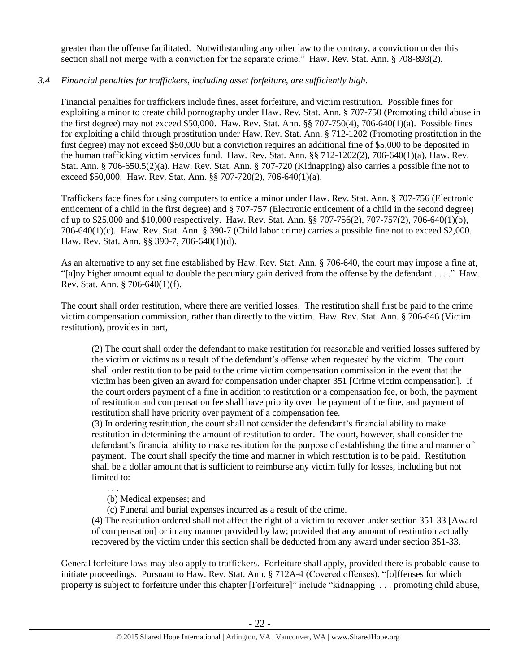greater than the offense facilitated. Notwithstanding any other law to the contrary, a conviction under this section shall not merge with a conviction for the separate crime." Haw. Rev. Stat. Ann. § 708-893(2).

# *3.4 Financial penalties for traffickers, including asset forfeiture, are sufficiently high*.

Financial penalties for traffickers include fines, asset forfeiture, and victim restitution. Possible fines for exploiting a minor to create child pornography under Haw. Rev. Stat. Ann. § 707-750 (Promoting child abuse in the first degree) may not exceed \$50,000. Haw. Rev. Stat. Ann. §§ 707-750(4), 706-640(1)(a). Possible fines for exploiting a child through prostitution under Haw. Rev. Stat. Ann. § 712-1202 (Promoting prostitution in the first degree) may not exceed \$50,000 but a conviction requires an additional fine of \$5,000 to be deposited in the human trafficking victim services fund. Haw. Rev. Stat. Ann. §§ 712-1202(2), 706-640(1)(a), Haw. Rev. Stat. Ann. § 706-650.5(2)(a). Haw. Rev. Stat. Ann. § 707-720 (Kidnapping) also carries a possible fine not to exceed \$50,000. Haw. Rev. Stat. Ann. §§ 707-720(2), 706-640(1)(a).

Traffickers face fines for using computers to entice a minor under Haw. Rev. Stat. Ann. § 707-756 (Electronic enticement of a child in the first degree) and § 707-757 (Electronic enticement of a child in the second degree) of up to \$25,000 and \$10,000 respectively. Haw. Rev. Stat. Ann. §§ 707-756(2), 707-757(2), 706-640(1)(b), 706-640(1)(c). Haw. Rev. Stat. Ann. § 390-7 (Child labor crime) carries a possible fine not to exceed \$2,000. Haw. Rev. Stat. Ann. §§ 390-7, 706-640(1)(d).

As an alternative to any set fine established by Haw. Rev. Stat. Ann. § 706-640, the court may impose a fine at, "[a]ny higher amount equal to double the pecuniary gain derived from the offense by the defendant . . . ." Haw. Rev. Stat. Ann. § 706-640(1)(f).

The court shall order restitution, where there are verified losses. The restitution shall first be paid to the crime victim compensation commission, rather than directly to the victim. Haw. Rev. Stat. Ann. § 706-646 (Victim restitution), provides in part,

(2) The court shall order the defendant to make restitution for reasonable and verified losses suffered by the victim or victims as a result of the defendant's offense when requested by the victim. The court shall order restitution to be paid to the crime victim compensation commission in the event that the victim has been given an award for compensation under chapter 351 [Crime victim compensation]. If the court orders payment of a fine in addition to restitution or a compensation fee, or both, the payment of restitution and compensation fee shall have priority over the payment of the fine, and payment of restitution shall have priority over payment of a compensation fee.

(3) In ordering restitution, the court shall not consider the defendant's financial ability to make restitution in determining the amount of restitution to order. The court, however, shall consider the defendant's financial ability to make restitution for the purpose of establishing the time and manner of payment. The court shall specify the time and manner in which restitution is to be paid. Restitution shall be a dollar amount that is sufficient to reimburse any victim fully for losses, including but not limited to:

. . .

(b) Medical expenses; and

(c) Funeral and burial expenses incurred as a result of the crime.

(4) The restitution ordered shall not affect the right of a victim to recover under section 351-33 [Award of compensation] or in any manner provided by law; provided that any amount of restitution actually recovered by the victim under this section shall be deducted from any award under section 351-33.

General forfeiture laws may also apply to traffickers. Forfeiture shall apply, provided there is probable cause to initiate proceedings. Pursuant to Haw. Rev. Stat. Ann. § 712A-4 (Covered offenses), "[o]ffenses for which property is subject to forfeiture under this chapter [Forfeiture]" include "kidnapping . . . promoting child abuse,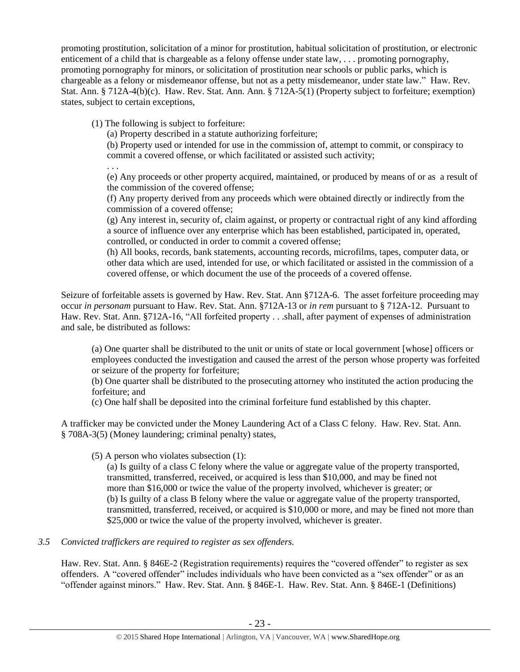promoting prostitution, solicitation of a minor for prostitution, habitual solicitation of prostitution, or electronic enticement of a child that is chargeable as a felony offense under state law, . . . promoting pornography, promoting pornography for minors, or solicitation of prostitution near schools or public parks, which is chargeable as a felony or misdemeanor offense, but not as a petty misdemeanor, under state law." Haw. Rev. Stat. Ann. § 712A-4(b)(c). Haw. Rev. Stat. Ann. Ann. § 712A-5(1) (Property subject to forfeiture; exemption) states, subject to certain exceptions,

(1) The following is subject to forfeiture:

(a) Property described in a statute authorizing forfeiture;

(b) Property used or intended for use in the commission of, attempt to commit, or conspiracy to commit a covered offense, or which facilitated or assisted such activity;

. . .

(e) Any proceeds or other property acquired, maintained, or produced by means of or as a result of the commission of the covered offense;

(f) Any property derived from any proceeds which were obtained directly or indirectly from the commission of a covered offense;

(g) Any interest in, security of, claim against, or property or contractual right of any kind affording a source of influence over any enterprise which has been established, participated in, operated, controlled, or conducted in order to commit a covered offense;

(h) All books, records, bank statements, accounting records, microfilms, tapes, computer data, or other data which are used, intended for use, or which facilitated or assisted in the commission of a covered offense, or which document the use of the proceeds of a covered offense.

Seizure of forfeitable assets is governed by Haw. Rev. Stat. Ann §712A-6. The asset forfeiture proceeding may occur *in personam* pursuant to Haw. Rev. Stat. Ann. §712A-13 or *in rem* pursuant to § 712A-12. Pursuant to Haw. Rev. Stat. Ann. §712A-16, "All forfeited property . . .shall, after payment of expenses of administration and sale, be distributed as follows:

(a) One quarter shall be distributed to the unit or units of state or local government [whose] officers or employees conducted the investigation and caused the arrest of the person whose property was forfeited or seizure of the property for forfeiture;

(b) One quarter shall be distributed to the prosecuting attorney who instituted the action producing the forfeiture; and

(c) One half shall be deposited into the criminal forfeiture fund established by this chapter.

A trafficker may be convicted under the Money Laundering Act of a Class C felony. Haw. Rev. Stat. Ann. § 708A-3(5) (Money laundering; criminal penalty) states,

(5) A person who violates subsection (1):

(a) Is guilty of a class C felony where the value or aggregate value of the property transported, transmitted, transferred, received, or acquired is less than \$10,000, and may be fined not more than \$16,000 or twice the value of the property involved, whichever is greater; or (b) Is guilty of a class B felony where the value or aggregate value of the property transported, transmitted, transferred, received, or acquired is \$10,000 or more, and may be fined not more than \$25,000 or twice the value of the property involved, whichever is greater.

# *3.5 Convicted traffickers are required to register as sex offenders.*

Haw. Rev. Stat. Ann. § 846E-2 (Registration requirements) requires the "covered offender" to register as sex offenders. A "covered offender" includes individuals who have been convicted as a "sex offender" or as an "offender against minors." Haw. Rev. Stat. Ann. § 846E-1. Haw. Rev. Stat. Ann. § 846E-1 (Definitions)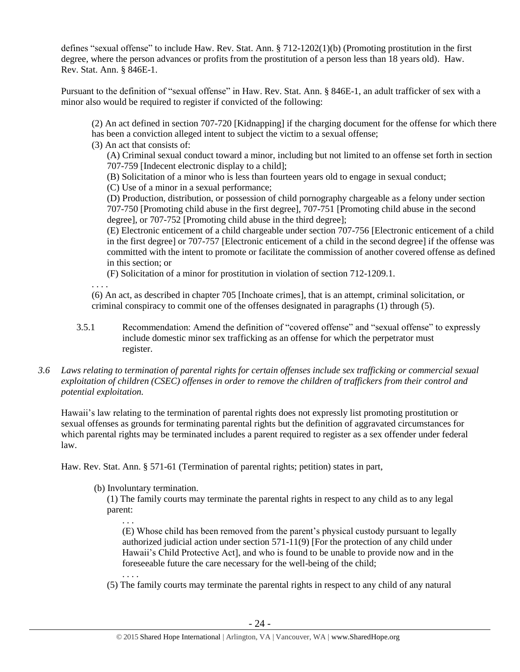defines "sexual offense" to include Haw. Rev. Stat. Ann. § 712-1202(1)(b) (Promoting prostitution in the first degree, where the person advances or profits from the prostitution of a person less than 18 years old). Haw. Rev. Stat. Ann. § 846E-1.

Pursuant to the definition of "sexual offense" in Haw. Rev. Stat. Ann. § 846E-1, an adult trafficker of sex with a minor also would be required to register if convicted of the following:

(2) An act defined in section 707-720 [Kidnapping] if the charging document for the offense for which there has been a conviction alleged intent to subject the victim to a sexual offense;

(3) An act that consists of:

(A) Criminal sexual conduct toward a minor, including but not limited to an offense set forth in section 707-759 [Indecent electronic display to a child];

(B) Solicitation of a minor who is less than fourteen years old to engage in sexual conduct;

(C) Use of a minor in a sexual performance;

(D) Production, distribution, or possession of child pornography chargeable as a felony under section 707-750 [Promoting child abuse in the first degree], 707-751 [Promoting child abuse in the second degree], or 707-752 [Promoting child abuse in the third degree];

(E) Electronic enticement of a child chargeable under section 707-756 [Electronic enticement of a child in the first degree] or 707-757 [Electronic enticement of a child in the second degree] if the offense was committed with the intent to promote or facilitate the commission of another covered offense as defined in this section; or

(F) Solicitation of a minor for prostitution in violation of section 712-1209.1.

. . . .

(6) An act, as described in chapter 705 [Inchoate crimes], that is an attempt, criminal solicitation, or criminal conspiracy to commit one of the offenses designated in paragraphs (1) through (5).

- 3.5.1 Recommendation: Amend the definition of "covered offense" and "sexual offense" to expressly include domestic minor sex trafficking as an offense for which the perpetrator must register.
- *3.6 Laws relating to termination of parental rights for certain offenses include sex trafficking or commercial sexual exploitation of children (CSEC) offenses in order to remove the children of traffickers from their control and potential exploitation.*

Hawaii's law relating to the termination of parental rights does not expressly list promoting prostitution or sexual offenses as grounds for terminating parental rights but the definition of aggravated circumstances for which parental rights may be terminated includes a parent required to register as a sex offender under federal law.

Haw. Rev. Stat. Ann. § 571-61 (Termination of parental rights; petition) states in part,

(b) Involuntary termination.

. . . .

(1) The family courts may terminate the parental rights in respect to any child as to any legal parent:

. . . (E) Whose child has been removed from the parent's physical custody pursuant to legally authorized judicial action under section 571-11(9) [For the protection of any child under Hawaii's Child Protective Act], and who is found to be unable to provide now and in the foreseeable future the care necessary for the well-being of the child;

(5) The family courts may terminate the parental rights in respect to any child of any natural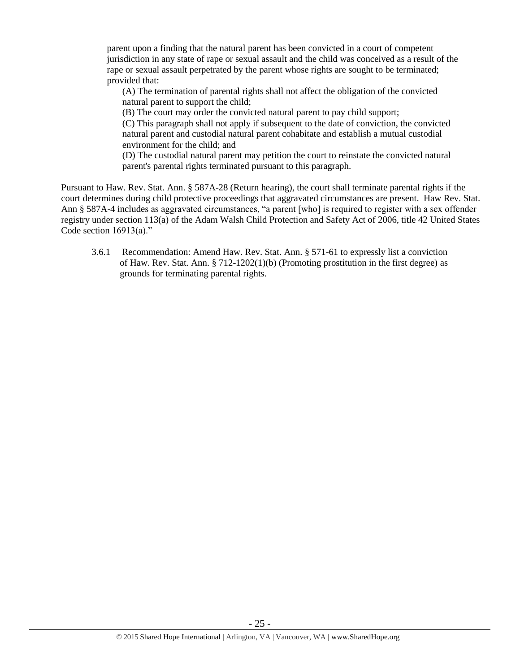parent upon a finding that the natural parent has been convicted in a court of competent jurisdiction in any state of rape or sexual assault and the child was conceived as a result of the rape or sexual assault perpetrated by the parent whose rights are sought to be terminated; provided that:

(A) The termination of parental rights shall not affect the obligation of the convicted natural parent to support the child;

(B) The court may order the convicted natural parent to pay child support;

(C) This paragraph shall not apply if subsequent to the date of conviction, the convicted natural parent and custodial natural parent cohabitate and establish a mutual custodial environment for the child; and

(D) The custodial natural parent may petition the court to reinstate the convicted natural parent's parental rights terminated pursuant to this paragraph.

Pursuant to Haw. Rev. Stat. Ann. § 587A-28 (Return hearing), the court shall terminate parental rights if the court determines during child protective proceedings that aggravated circumstances are present. Haw Rev. Stat. Ann § 587A-4 includes as aggravated circumstances, "a parent [who] is required to register with a sex offender registry under section 113(a) of the Adam Walsh Child Protection and Safety Act of 2006, title 42 United States Code section 16913(a)."

3.6.1 Recommendation: Amend Haw. Rev. Stat. Ann. § 571-61 to expressly list a conviction of Haw. Rev. Stat. Ann.  $\S 712-1202(1)$ (b) (Promoting prostitution in the first degree) as grounds for terminating parental rights.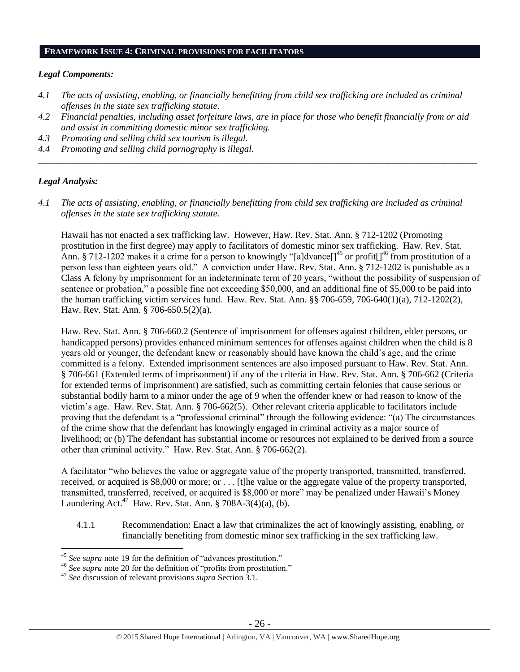#### **FRAMEWORK ISSUE 4: CRIMINAL PROVISIONS FOR FACILITATORS**

## *Legal Components:*

- *4.1 The acts of assisting, enabling, or financially benefitting from child sex trafficking are included as criminal offenses in the state sex trafficking statute.*
- *4.2 Financial penalties, including asset forfeiture laws, are in place for those who benefit financially from or aid and assist in committing domestic minor sex trafficking.*
- *4.3 Promoting and selling child sex tourism is illegal.*
- *4.4 Promoting and selling child pornography is illegal. \_\_\_\_\_\_\_\_\_\_\_\_\_\_\_\_\_\_\_\_\_\_\_\_\_\_\_\_\_\_\_\_\_\_\_\_\_\_\_\_\_\_\_\_\_\_\_\_\_\_\_\_\_\_\_\_\_\_\_\_\_\_\_\_\_\_\_\_\_\_\_\_\_\_\_\_\_\_\_\_\_\_\_\_\_\_\_\_\_\_\_\_\_\_*

# *Legal Analysis:*

 $\overline{a}$ 

*4.1 The acts of assisting, enabling, or financially benefitting from child sex trafficking are included as criminal offenses in the state sex trafficking statute.*

Hawaii has not enacted a sex trafficking law. However, Haw. Rev. Stat. Ann. § 712-1202 (Promoting prostitution in the first degree) may apply to facilitators of domestic minor sex trafficking. Haw. Rev. Stat. Ann. § 712-1202 makes it a crime for a person to knowingly "[a]dvance[]<sup>45</sup> or profit[]<sup>46</sup> from prostitution of a person less than eighteen years old." A conviction under Haw. Rev. Stat. Ann. § 712-1202 is punishable as a Class A felony by imprisonment for an indeterminate term of 20 years, "without the possibility of suspension of sentence or probation," a possible fine not exceeding \$50,000, and an additional fine of \$5,000 to be paid into the human trafficking victim services fund. Haw. Rev. Stat. Ann. §§ 706-659, 706-640(1)(a), 712-1202(2), Haw. Rev. Stat. Ann. § 706-650.5(2)(a).

Haw. Rev. Stat. Ann. § 706-660.2 (Sentence of imprisonment for offenses against children, elder persons, or handicapped persons) provides enhanced minimum sentences for offenses against children when the child is 8 years old or younger, the defendant knew or reasonably should have known the child's age, and the crime committed is a felony. Extended imprisonment sentences are also imposed pursuant to Haw. Rev. Stat. Ann. § 706-661 (Extended terms of imprisonment) if any of the criteria in Haw. Rev. Stat. Ann. § 706-662 (Criteria for extended terms of imprisonment) are satisfied, such as committing certain felonies that cause serious or substantial bodily harm to a minor under the age of 9 when the offender knew or had reason to know of the victim's age. Haw. Rev. Stat. Ann. § 706-662(5). Other relevant criteria applicable to facilitators include proving that the defendant is a "professional criminal" through the following evidence: "(a) The circumstances of the crime show that the defendant has knowingly engaged in criminal activity as a major source of livelihood; or (b) The defendant has substantial income or resources not explained to be derived from a source other than criminal activity." Haw. Rev. Stat. Ann. § 706-662(2).

A facilitator "who believes the value or aggregate value of the property transported, transmitted, transferred, received, or acquired is \$8,000 or more; or . . . [t]he value or the aggregate value of the property transported, transmitted, transferred, received, or acquired is \$8,000 or more" may be penalized under Hawaii's Money Laundering Act.<sup>47</sup> Haw. Rev. Stat. Ann. § 708A-3(4)(a), (b).

4.1.1 Recommendation: Enact a law that criminalizes the act of knowingly assisting, enabling, or financially benefiting from domestic minor sex trafficking in the sex trafficking law.

<sup>45</sup> *See supra* note [19](#page-3-1) for the definition of "advances prostitution."

<sup>46</sup> *See supra* note [20](#page-3-2) for the definition of "profits from prostitution."

<sup>47</sup> *See* discussion of relevant provisions *supra* Section 3.1.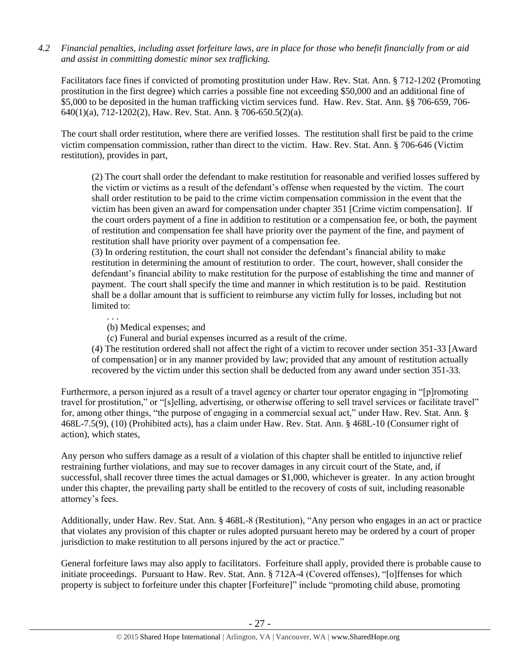*4.2 Financial penalties, including asset forfeiture laws, are in place for those who benefit financially from or aid and assist in committing domestic minor sex trafficking.*

Facilitators face fines if convicted of promoting prostitution under Haw. Rev. Stat. Ann. § 712-1202 (Promoting prostitution in the first degree) which carries a possible fine not exceeding \$50,000 and an additional fine of \$5,000 to be deposited in the human trafficking victim services fund. Haw. Rev. Stat. Ann. §§ 706-659, 706- 640(1)(a), 712-1202(2), Haw. Rev. Stat. Ann. § 706-650.5(2)(a).

The court shall order restitution, where there are verified losses. The restitution shall first be paid to the crime victim compensation commission, rather than direct to the victim. Haw. Rev. Stat. Ann. § 706-646 (Victim restitution), provides in part,

(2) The court shall order the defendant to make restitution for reasonable and verified losses suffered by the victim or victims as a result of the defendant's offense when requested by the victim. The court shall order restitution to be paid to the crime victim compensation commission in the event that the victim has been given an award for compensation under chapter 351 [Crime victim compensation]. If the court orders payment of a fine in addition to restitution or a compensation fee, or both, the payment of restitution and compensation fee shall have priority over the payment of the fine, and payment of restitution shall have priority over payment of a compensation fee.

(3) In ordering restitution, the court shall not consider the defendant's financial ability to make restitution in determining the amount of restitution to order. The court, however, shall consider the defendant's financial ability to make restitution for the purpose of establishing the time and manner of payment. The court shall specify the time and manner in which restitution is to be paid. Restitution shall be a dollar amount that is sufficient to reimburse any victim fully for losses, including but not limited to:

(b) Medical expenses; and

. . .

(c) Funeral and burial expenses incurred as a result of the crime.

(4) The restitution ordered shall not affect the right of a victim to recover under section 351-33 [Award of compensation] or in any manner provided by law; provided that any amount of restitution actually recovered by the victim under this section shall be deducted from any award under section 351-33.

Furthermore, a person injured as a result of a travel agency or charter tour operator engaging in "[p]romoting travel for prostitution," or "[s]elling, advertising, or otherwise offering to sell travel services or facilitate travel" for, among other things, "the purpose of engaging in a commercial sexual act," under Haw. Rev. Stat. Ann. § 468L-7.5(9), (10) (Prohibited acts), has a claim under Haw. Rev. Stat. Ann. § 468L-10 (Consumer right of action), which states,

Any person who suffers damage as a result of a violation of this chapter shall be entitled to injunctive relief restraining further violations, and may sue to recover damages in any circuit court of the State, and, if successful, shall recover three times the actual damages or \$1,000, whichever is greater. In any action brought under this chapter, the prevailing party shall be entitled to the recovery of costs of suit, including reasonable attorney's fees.

Additionally, under Haw. Rev. Stat. Ann. § 468L-8 (Restitution), "Any person who engages in an act or practice that violates any provision of this chapter or rules adopted pursuant hereto may be ordered by a court of proper jurisdiction to make restitution to all persons injured by the act or practice."

General forfeiture laws may also apply to facilitators. Forfeiture shall apply, provided there is probable cause to initiate proceedings. Pursuant to Haw. Rev. Stat. Ann. § 712A-4 (Covered offenses), "[o]ffenses for which property is subject to forfeiture under this chapter [Forfeiture]" include "promoting child abuse, promoting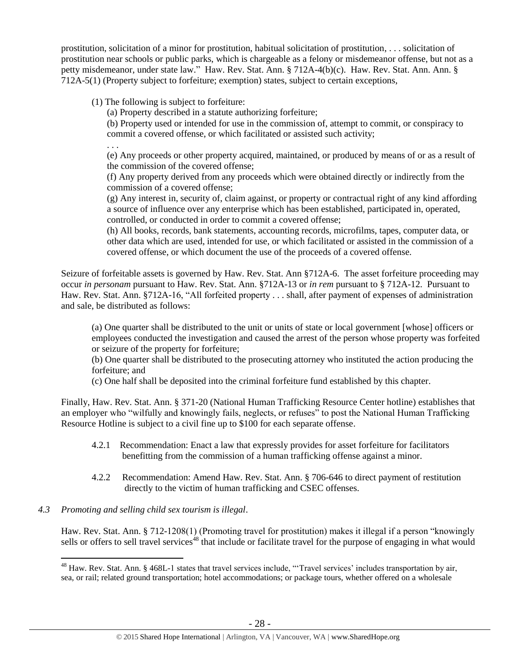prostitution, solicitation of a minor for prostitution, habitual solicitation of prostitution, . . . solicitation of prostitution near schools or public parks, which is chargeable as a felony or misdemeanor offense, but not as a petty misdemeanor, under state law." Haw. Rev. Stat. Ann. § 712A-4(b)(c). Haw. Rev. Stat. Ann. Ann. § 712A-5(1) (Property subject to forfeiture; exemption) states, subject to certain exceptions,

(1) The following is subject to forfeiture:

(a) Property described in a statute authorizing forfeiture;

(b) Property used or intended for use in the commission of, attempt to commit, or conspiracy to commit a covered offense, or which facilitated or assisted such activity;

. . .

(e) Any proceeds or other property acquired, maintained, or produced by means of or as a result of the commission of the covered offense;

(f) Any property derived from any proceeds which were obtained directly or indirectly from the commission of a covered offense;

(g) Any interest in, security of, claim against, or property or contractual right of any kind affording a source of influence over any enterprise which has been established, participated in, operated, controlled, or conducted in order to commit a covered offense;

(h) All books, records, bank statements, accounting records, microfilms, tapes, computer data, or other data which are used, intended for use, or which facilitated or assisted in the commission of a covered offense, or which document the use of the proceeds of a covered offense.

Seizure of forfeitable assets is governed by Haw. Rev. Stat. Ann §712A-6. The asset forfeiture proceeding may occur *in personam* pursuant to Haw. Rev. Stat. Ann. §712A-13 or *in rem* pursuant to § 712A-12. Pursuant to Haw. Rev. Stat. Ann. §712A-16, "All forfeited property . . . shall, after payment of expenses of administration and sale, be distributed as follows:

(a) One quarter shall be distributed to the unit or units of state or local government [whose] officers or employees conducted the investigation and caused the arrest of the person whose property was forfeited or seizure of the property for forfeiture;

(b) One quarter shall be distributed to the prosecuting attorney who instituted the action producing the forfeiture; and

(c) One half shall be deposited into the criminal forfeiture fund established by this chapter.

Finally, Haw. Rev. Stat. Ann. § 371-20 (National Human Trafficking Resource Center hotline) establishes that an employer who "wilfully and knowingly fails, neglects, or refuses" to post the National Human Trafficking Resource Hotline is subject to a civil fine up to \$100 for each separate offense.

- 4.2.1 Recommendation: Enact a law that expressly provides for asset forfeiture for facilitators benefitting from the commission of a human trafficking offense against a minor.
- 4.2.2 Recommendation: Amend Haw. Rev. Stat. Ann. § 706-646 to direct payment of restitution directly to the victim of human trafficking and CSEC offenses.

# *4.3 Promoting and selling child sex tourism is illegal*.

 $\overline{a}$ 

Haw. Rev. Stat. Ann. § 712-1208(1) (Promoting travel for prostitution) makes it illegal if a person "knowingly sells or offers to sell travel services<sup>48</sup> that include or facilitate travel for the purpose of engaging in what would

<sup>48</sup> Haw. Rev. Stat. Ann. § 468L-1 states that travel services include, "'Travel services' includes transportation by air, sea, or rail; related ground transportation; hotel accommodations; or package tours, whether offered on a wholesale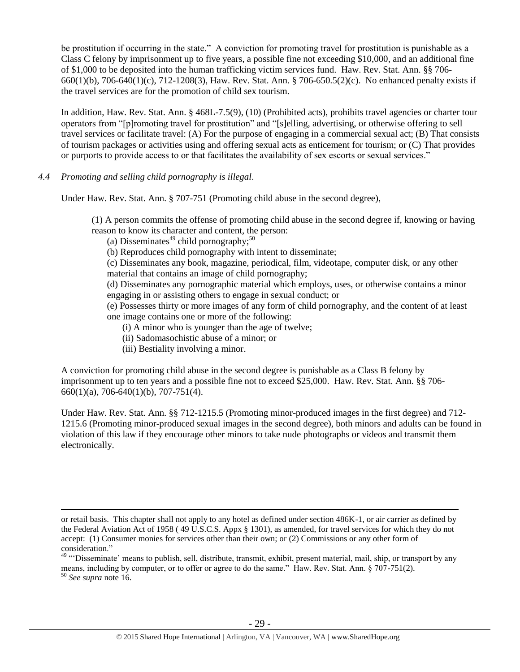be prostitution if occurring in the state." A conviction for promoting travel for prostitution is punishable as a Class C felony by imprisonment up to five years, a possible fine not exceeding \$10,000, and an additional fine of \$1,000 to be deposited into the human trafficking victim services fund. Haw. Rev. Stat. Ann. §§ 706- 660(1)(b), 706-640(1)(c), 712-1208(3), Haw. Rev. Stat. Ann. § 706-650.5(2)(c). No enhanced penalty exists if the travel services are for the promotion of child sex tourism.

In addition, Haw. Rev. Stat. Ann. § 468L-7.5(9), (10) (Prohibited acts), prohibits travel agencies or charter tour operators from "[p]romoting travel for prostitution" and "[s]elling, advertising, or otherwise offering to sell travel services or facilitate travel: (A) For the purpose of engaging in a commercial sexual act; (B) That consists of tourism packages or activities using and offering sexual acts as enticement for tourism; or (C) That provides or purports to provide access to or that facilitates the availability of sex escorts or sexual services."

*4.4 Promoting and selling child pornography is illegal*.

 $\overline{a}$ 

Under Haw. Rev. Stat. Ann. § 707-751 (Promoting child abuse in the second degree),

(1) A person commits the offense of promoting child abuse in the second degree if, knowing or having reason to know its character and content, the person:

(a) Disseminates<sup>49</sup> child pornography;<sup>50</sup>

(b) Reproduces child pornography with intent to disseminate;

(c) Disseminates any book, magazine, periodical, film, videotape, computer disk, or any other material that contains an image of child pornography;

(d) Disseminates any pornographic material which employs, uses, or otherwise contains a minor engaging in or assisting others to engage in sexual conduct; or

(e) Possesses thirty or more images of any form of child pornography, and the content of at least one image contains one or more of the following:

(i) A minor who is younger than the age of twelve;

- (ii) Sadomasochistic abuse of a minor; or
- (iii) Bestiality involving a minor.

A conviction for promoting child abuse in the second degree is punishable as a Class B felony by imprisonment up to ten years and a possible fine not to exceed \$25,000. Haw. Rev. Stat. Ann. §§ 706- 660(1)(a), 706-640(1)(b), 707-751(4).

Under Haw. Rev. Stat. Ann. §§ 712-1215.5 (Promoting minor-produced images in the first degree) and 712- 1215.6 (Promoting minor-produced sexual images in the second degree), both minors and adults can be found in violation of this law if they encourage other minors to take nude photographs or videos and transmit them electronically.

or retail basis. This chapter shall not apply to any hotel as defined under section 486K-1, or air carrier as defined by the Federal Aviation Act of 1958 ( 49 U.S.C.S. Appx § 1301), as amended, for travel services for which they do not accept: (1) Consumer monies for services other than their own; or (2) Commissions or any other form of consideration."

<sup>&</sup>lt;sup>49</sup> "Disseminate' means to publish, sell, distribute, transmit, exhibit, present material, mail, ship, or transport by any means, including by computer, or to offer or agree to do the same." Haw. Rev. Stat. Ann. § 707-751(2). <sup>50</sup> *See supra* note [16.](#page-3-0)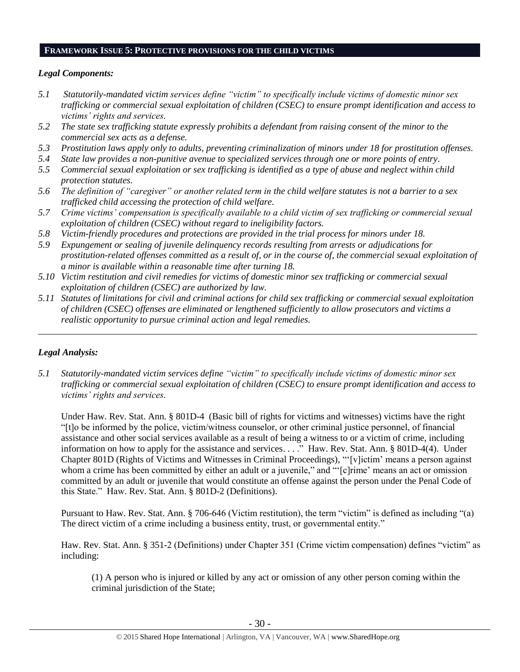#### **FRAMEWORK ISSUE 5: PROTECTIVE PROVISIONS FOR THE CHILD VICTIMS**

## *Legal Components:*

- *5.1 Statutorily-mandated victim services define "victim" to specifically include victims of domestic minor sex trafficking or commercial sexual exploitation of children (CSEC) to ensure prompt identification and access to victims' rights and services.*
- *5.2 The state sex trafficking statute expressly prohibits a defendant from raising consent of the minor to the commercial sex acts as a defense.*
- *5.3 Prostitution laws apply only to adults, preventing criminalization of minors under 18 for prostitution offenses.*
- *5.4 State law provides a non-punitive avenue to specialized services through one or more points of entry.*
- *5.5 Commercial sexual exploitation or sex trafficking is identified as a type of abuse and neglect within child protection statutes.*
- *5.6 The definition of "caregiver" or another related term in the child welfare statutes is not a barrier to a sex trafficked child accessing the protection of child welfare.*
- *5.7 Crime victims' compensation is specifically available to a child victim of sex trafficking or commercial sexual exploitation of children (CSEC) without regard to ineligibility factors.*
- *5.8 Victim-friendly procedures and protections are provided in the trial process for minors under 18.*
- *5.9 Expungement or sealing of juvenile delinquency records resulting from arrests or adjudications for prostitution-related offenses committed as a result of, or in the course of, the commercial sexual exploitation of a minor is available within a reasonable time after turning 18.*
- *5.10 Victim restitution and civil remedies for victims of domestic minor sex trafficking or commercial sexual exploitation of children (CSEC) are authorized by law.*
- *5.11 Statutes of limitations for civil and criminal actions for child sex trafficking or commercial sexual exploitation of children (CSEC) offenses are eliminated or lengthened sufficiently to allow prosecutors and victims a realistic opportunity to pursue criminal action and legal remedies.*

*\_\_\_\_\_\_\_\_\_\_\_\_\_\_\_\_\_\_\_\_\_\_\_\_\_\_\_\_\_\_\_\_\_\_\_\_\_\_\_\_\_\_\_\_\_\_\_\_\_\_\_\_\_\_\_\_\_\_\_\_\_\_\_\_\_\_\_\_\_\_\_\_\_\_\_\_\_\_\_\_\_\_\_\_\_\_\_\_\_\_\_\_\_\_*

# *Legal Analysis:*

*5.1 Statutorily-mandated victim services define "victim" to specifically include victims of domestic minor sex trafficking or commercial sexual exploitation of children (CSEC) to ensure prompt identification and access to victims' rights and services.* 

Under Haw. Rev. Stat. Ann. § 801D-4 (Basic bill of rights for victims and witnesses) victims have the right "[t]o be informed by the police, victim/witness counselor, or other criminal justice personnel, of financial assistance and other social services available as a result of being a witness to or a victim of crime, including information on how to apply for the assistance and services. . . ." Haw. Rev. Stat. Ann. § 801D-4(4). Under Chapter 801D (Rights of Victims and Witnesses in Criminal Proceedings), "'[v]ictim' means a person against whom a crime has been committed by either an adult or a juvenile," and "'[c]rime' means an act or omission committed by an adult or juvenile that would constitute an offense against the person under the Penal Code of this State." Haw. Rev. Stat. Ann. § 801D-2 (Definitions).

Pursuant to Haw. Rev. Stat. Ann. § 706-646 (Victim restitution), the term "victim" is defined as including "(a) The direct victim of a crime including a business entity, trust, or governmental entity."

Haw. Rev. Stat. Ann. § 351-2 (Definitions) under Chapter 351 (Crime victim compensation) defines "victim" as including:

(1) A person who is injured or killed by any act or omission of any other person coming within the criminal jurisdiction of the State;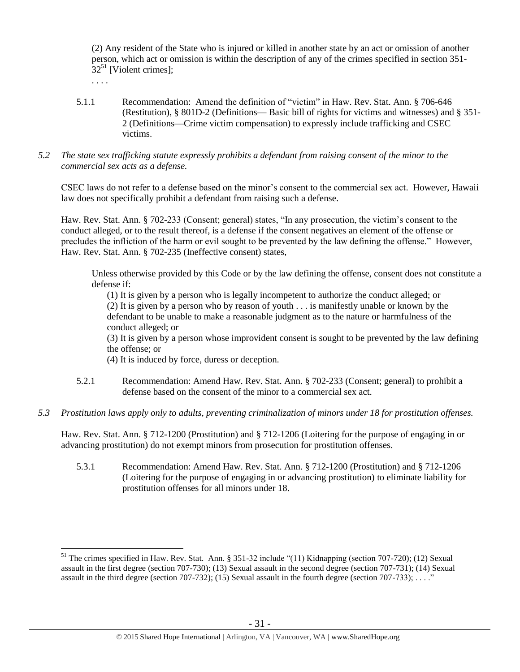(2) Any resident of the State who is injured or killed in another state by an act or omission of another person, which act or omission is within the description of any of the crimes specified in [section 351-](https://a.next.westlaw.com/Link/Document/FullText?findType=L&pubNum=1000522&cite=HISTS351-32&originatingDoc=N3C24DF804C5A11DDB03786E014444BA4&refType=LQ&originationContext=document&transitionType=DocumentItem&contextData=(sc.Search))  $32^{51}$  $32^{51}$  [Violent crimes];

<span id="page-30-0"></span>. . . .

 $\overline{a}$ 

- 5.1.1 Recommendation: Amend the definition of "victim" in Haw. Rev. Stat. Ann. § 706-646 (Restitution), § 801D-2 (Definitions— Basic bill of rights for victims and witnesses) and § 351- 2 (Definitions—Crime victim compensation) to expressly include trafficking and CSEC victims.
- *5.2 The state sex trafficking statute expressly prohibits a defendant from raising consent of the minor to the commercial sex acts as a defense.*

CSEC laws do not refer to a defense based on the minor's consent to the commercial sex act. However, Hawaii law does not specifically prohibit a defendant from raising such a defense.

Haw. Rev. Stat. Ann. § 702-233 (Consent; general) states, "In any prosecution, the victim's consent to the conduct alleged, or to the result thereof, is a defense if the consent negatives an element of the offense or precludes the infliction of the harm or evil sought to be prevented by the law defining the offense." However, Haw. Rev. Stat. Ann. § 702-235 (Ineffective consent) states,

Unless otherwise provided by this Code or by the law defining the offense, consent does not constitute a defense if:

(1) It is given by a person who is legally incompetent to authorize the conduct alleged; or (2) It is given by a person who by reason of youth . . . is manifestly unable or known by the defendant to be unable to make a reasonable judgment as to the nature or harmfulness of the conduct alleged; or

(3) It is given by a person whose improvident consent is sought to be prevented by the law defining the offense; or

(4) It is induced by force, duress or deception.

- 5.2.1 Recommendation: Amend Haw. Rev. Stat. Ann. § 702-233 (Consent; general) to prohibit a defense based on the consent of the minor to a commercial sex act.
- *5.3 Prostitution laws apply only to adults, preventing criminalization of minors under 18 for prostitution offenses.*

Haw. Rev. Stat. Ann. § 712-1200 (Prostitution) and § 712-1206 (Loitering for the purpose of engaging in or advancing prostitution) do not exempt minors from prosecution for prostitution offenses.

5.3.1 Recommendation: Amend Haw. Rev. Stat. Ann. § 712-1200 (Prostitution) and § 712-1206 (Loitering for the purpose of engaging in or advancing prostitution) to eliminate liability for prostitution offenses for all minors under 18.

<sup>&</sup>lt;sup>51</sup> The crimes specified in Haw. Rev. Stat. Ann. § 351-32 include "(11) Kidnapping (section 707-720); (12) Sexual assault in the first degree (section 707-730); (13) Sexual assault in the second degree (section 707-731); (14) Sexual assault in the third degree (section 707-732); (15) Sexual assault in the fourth degree (section 707-733);  $\dots$ "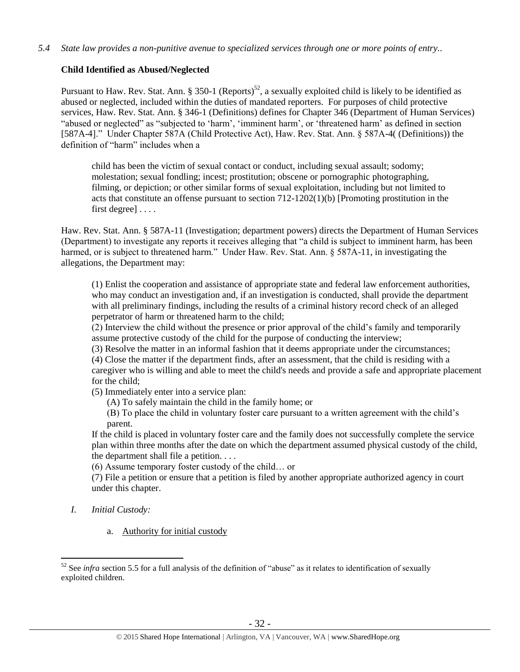# **Child Identified as Abused/Neglected**

Pursuant to Haw. Rev. Stat. Ann. § 350-1 (Reports)<sup>52</sup>, a sexually exploited child is likely to be identified as abused or neglected, included within the duties of mandated reporters. For purposes of child protective services, Haw. Rev. Stat. Ann. § 346-1 (Definitions) defines for Chapter 346 (Department of Human Services) "abused or neglected" as "subjected to 'harm', 'imminent harm', or 'threatened harm' as defined in section [587A-4]." Under Chapter 587A (Child Protective Act), Haw. Rev. Stat. Ann. § 587A-4( (Definitions)) the definition of "harm" includes when a

child has been the victim of sexual contact or conduct, including sexual assault; sodomy; molestation; sexual fondling; incest; prostitution; obscene or pornographic photographing, filming, or depiction; or other similar forms of sexual exploitation, including but not limited to acts that constitute an offense pursuant to section 712-1202(1)(b) [Promoting prostitution in the first degree] . . . .

Haw. Rev. Stat. Ann. § 587A-11 (Investigation; department powers) directs the Department of Human Services (Department) to investigate any reports it receives alleging that "a child is subject to imminent harm, has been harmed, or is subject to threatened harm." Under Haw. Rev. Stat. Ann. § 587A-11, in investigating the allegations, the Department may:

(1) Enlist the cooperation and assistance of appropriate state and federal law enforcement authorities, who may conduct an investigation and, if an investigation is conducted, shall provide the department with all preliminary findings, including the results of a criminal history record check of an alleged perpetrator of harm or threatened harm to the child;

(2) Interview the child without the presence or prior approval of the child's family and temporarily assume protective custody of the child for the purpose of conducting the interview;

(3) Resolve the matter in an informal fashion that it deems appropriate under the circumstances;

(4) Close the matter if the department finds, after an assessment, that the child is residing with a caregiver who is willing and able to meet the child's needs and provide a safe and appropriate placement for the child;

(5) Immediately enter into a service plan:

- (A) To safely maintain the child in the family home; or
- (B) To place the child in voluntary foster care pursuant to a written agreement with the child's parent.

If the child is placed in voluntary foster care and the family does not successfully complete the service plan within three months after the date on which the department assumed physical custody of the child, the department shall file a petition. . . .

(6) Assume temporary foster custody of the child… or

(7) File a petition or ensure that a petition is filed by another appropriate authorized agency in court under this chapter.

*I. Initial Custody:* 

 $\overline{a}$ 

a. Authority for initial custody

<sup>&</sup>lt;sup>52</sup> See *infra* section 5.5 for a full analysis of the definition of "abuse" as it relates to identification of sexually exploited children.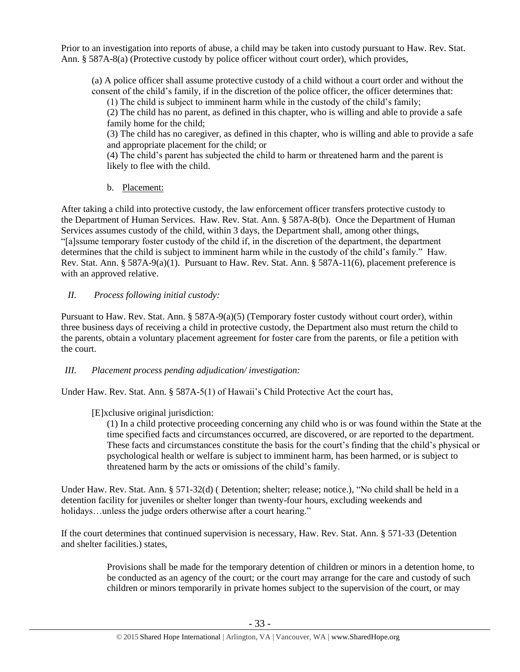Prior to an investigation into reports of abuse, a child may be taken into custody pursuant to Haw. Rev. Stat. Ann. § 587A-8(a) (Protective custody by police officer without court order), which provides,

(a) A police officer shall assume protective custody of a child without a court order and without the consent of the child's family, if in the discretion of the police officer, the officer determines that:

(1) The child is subject to imminent harm while in the custody of the child's family;

(2) The child has no parent, as defined in this chapter, who is willing and able to provide a safe family home for the child;

(3) The child has no caregiver, as defined in this chapter, who is willing and able to provide a safe and appropriate placement for the child; or

(4) The child's parent has subjected the child to harm or threatened harm and the parent is likely to flee with the child.

b. Placement:

After taking a child into protective custody, the law enforcement officer transfers protective custody to the Department of Human Services. Haw. Rev. Stat. Ann. § 587A-8(b). Once the Department of Human Services assumes custody of the child, within 3 days, the Department shall, among other things, "[a]ssume temporary foster custody of the child if, in the discretion of the department, the department determines that the child is subject to imminent harm while in the custody of the child's family." Haw. Rev. Stat. Ann. § 587A-9(a)(1). Pursuant to Haw. Rev. Stat. Ann. § 587A-11(6), placement preference is with an approved relative.

# *II. Process following initial custody:*

Pursuant to Haw. Rev. Stat. Ann. § 587A-9(a)(5) (Temporary foster custody without court order), within three business days of receiving a child in protective custody, the Department also must return the child to the parents, obtain a voluntary placement agreement for foster care from the parents, or file a petition with the court.

### *III. Placement process pending adjudication/ investigation:*

Under Haw. Rev. Stat. Ann. § 587A-5(1) of Hawaii's Child Protective Act the court has,

# [E]xclusive original jurisdiction:

(1) In a child protective proceeding concerning any child who is or was found within the State at the time specified facts and circumstances occurred, are discovered, or are reported to the department. These facts and circumstances constitute the basis for the court's finding that the child's physical or psychological health or welfare is subject to imminent harm, has been harmed, or is subject to threatened harm by the acts or omissions of the child's family.

Under Haw. Rev. Stat. Ann. § 571-32(d) ( Detention; shelter; release; notice.), "No child shall be held in a detention facility for juveniles or shelter longer than twenty-four hours, excluding weekends and holidays...unless the judge orders otherwise after a court hearing."

If the court determines that continued supervision is necessary, Haw. Rev. Stat. Ann. § 571-33 (Detention and shelter facilities.) states,

> Provisions shall be made for the temporary detention of children or minors in a detention home, to be conducted as an agency of the court; or the court may arrange for the care and custody of such children or minors temporarily in private homes subject to the supervision of the court, or may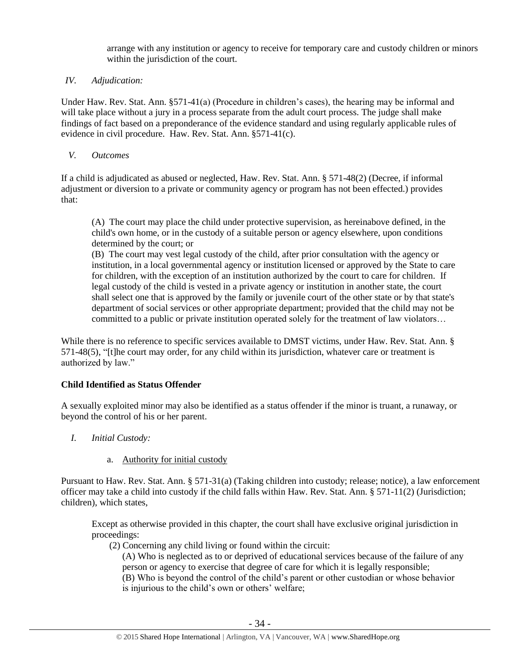arrange with any institution or agency to receive for temporary care and custody children or minors within the jurisdiction of the court.

# *IV. Adjudication:*

Under Haw. Rev. Stat. Ann. §571-41(a) (Procedure in children's cases), the hearing may be informal and will take place without a jury in a process separate from the adult court process. The judge shall make findings of fact based on a preponderance of the evidence standard and using regularly applicable rules of evidence in civil procedure. Haw. Rev. Stat. Ann. §571-41(c).

## *V. Outcomes*

If a child is adjudicated as abused or neglected, Haw. Rev. Stat. Ann. § 571-48(2) (Decree, if informal adjustment or diversion to a private or community agency or program has not been effected.) provides that:

(A) The court may place the child under protective supervision, as hereinabove defined, in the child's own home, or in the custody of a suitable person or agency elsewhere, upon conditions determined by the court; or

(B) The court may vest legal custody of the child, after prior consultation with the agency or institution, in a local governmental agency or institution licensed or approved by the State to care for children, with the exception of an institution authorized by the court to care for children. If legal custody of the child is vested in a private agency or institution in another state, the court shall select one that is approved by the family or juvenile court of the other state or by that state's department of social services or other appropriate department; provided that the child may not be committed to a public or private institution operated solely for the treatment of law violators…

While there is no reference to specific services available to DMST victims, under Haw. Rev. Stat. Ann. § 571-48(5), "[t]he court may order, for any child within its jurisdiction, whatever care or treatment is authorized by law."

# **Child Identified as Status Offender**

A sexually exploited minor may also be identified as a status offender if the minor is truant, a runaway, or beyond the control of his or her parent.

- *I. Initial Custody:* 
	- a. Authority for initial custody

Pursuant to Haw. Rev. Stat. Ann. § 571-31(a) (Taking children into custody; release; notice), a law enforcement officer may take a child into custody if the child falls within Haw. Rev. Stat. Ann. § 571-11(2) (Jurisdiction; children), which states,

Except as otherwise provided in this chapter, the court shall have exclusive original jurisdiction in proceedings:

(2) Concerning any child living or found within the circuit:

(A) Who is neglected as to or deprived of educational services because of the failure of any person or agency to exercise that degree of care for which it is legally responsible; (B) Who is beyond the control of the child's parent or other custodian or whose behavior is injurious to the child's own or others' welfare;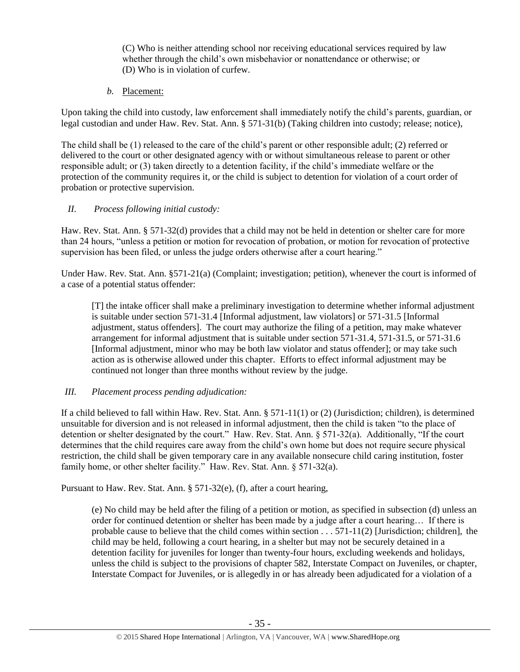(C) Who is neither attending school nor receiving educational services required by law whether through the child's own misbehavior or nonattendance or otherwise; or (D) Who is in violation of curfew.

*b.* Placement:

Upon taking the child into custody, law enforcement shall immediately notify the child's parents, guardian, or legal custodian and under Haw. Rev. Stat. Ann. § 571-31(b) (Taking children into custody; release; notice),

The child shall be (1) released to the care of the child's parent or other responsible adult; (2) referred or delivered to the court or other designated agency with or without simultaneous release to parent or other responsible adult; or (3) taken directly to a detention facility, if the child's immediate welfare or the protection of the community requires it, or the child is subject to detention for violation of a court order of probation or protective supervision.

# *II. Process following initial custody:*

Haw. Rev. Stat. Ann. § 571-32(d) provides that a child may not be held in detention or shelter care for more than 24 hours, "unless a petition or motion for revocation of probation, or motion for revocation of protective supervision has been filed, or unless the judge orders otherwise after a court hearing."

Under Haw. Rev. Stat. Ann. §571-21(a) (Complaint; investigation; petition), whenever the court is informed of a case of a potential status offender:

[T] the intake officer shall make a preliminary investigation to determine whether informal adjustment is suitable under section 571-31.4 [Informal adjustment, law violators] or 571-31.5 [Informal adjustment, status offenders]. The court may authorize the filing of a petition, may make whatever arrangement for informal adjustment that is suitable under section 571-31.4, 571-31.5, or 571-31.6 [Informal adjustment, minor who may be both law violator and status offender]; or may take such action as is otherwise allowed under this chapter. Efforts to effect informal adjustment may be continued not longer than three months without review by the judge.

# *III. Placement process pending adjudication:*

If a child believed to fall within Haw. Rev. Stat. Ann. § 571-11(1) or (2) (Jurisdiction; children), is determined unsuitable for diversion and is not released in informal adjustment, then the child is taken "to the place of detention or shelter designated by the court." Haw. Rev. Stat. Ann. § 571-32(a). Additionally, "If the court determines that the child requires care away from the child's own home but does not require secure physical restriction, the child shall be given temporary care in any available nonsecure child caring institution, foster family home, or other shelter facility." Haw. Rev. Stat. Ann. § 571-32(a).

Pursuant to Haw. Rev. Stat. Ann. § 571-32(e), (f), after a court hearing,

(e) No child may be held after the filing of a petition or motion, as specified in subsection (d) unless an order for continued detention or shelter has been made by a judge after a court hearing… If there is probable cause to believe that the child comes within section . . . 571-11(2) [Jurisdiction; children], the child may be held, following a court hearing, in a shelter but may not be securely detained in a detention facility for juveniles for longer than twenty-four hours, excluding weekends and holidays, unless the child is subject to the provisions of chapter 582, Interstate Compact on Juveniles, or chapter, Interstate Compact for Juveniles, or is allegedly in or has already been adjudicated for a violation of a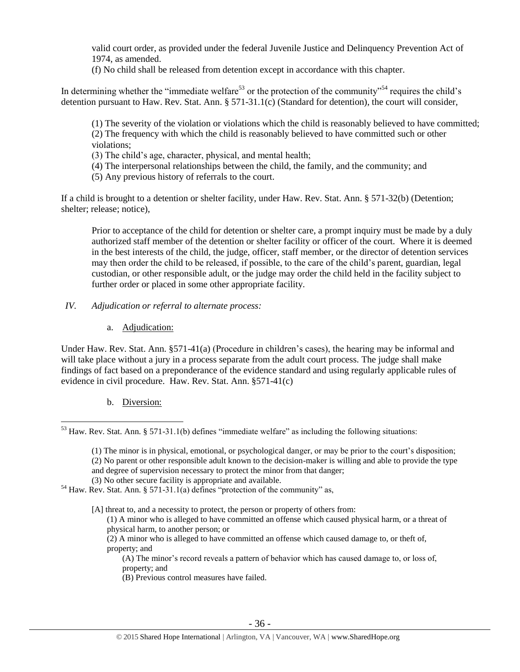valid court order, as provided under the federal Juvenile Justice and Delinquency Prevention Act of 1974, as amended.

(f) No child shall be released from detention except in accordance with this chapter.

In determining whether the "immediate welfare<sup>53</sup> or the protection of the community"<sup>54</sup> requires the child's detention pursuant to Haw. Rev. Stat. Ann. § 571-31.1(c) (Standard for detention), the court will consider,

(1) The severity of the violation or violations which the child is reasonably believed to have committed; (2) The frequency with which the child is reasonably believed to have committed such or other violations;

(3) The child's age, character, physical, and mental health;

(4) The interpersonal relationships between the child, the family, and the community; and

(5) Any previous history of referrals to the court.

If a child is brought to a detention or shelter facility, under Haw. Rev. Stat. Ann. § 571-32(b) (Detention; shelter; release; notice),

Prior to acceptance of the child for detention or shelter care, a prompt inquiry must be made by a duly authorized staff member of the detention or shelter facility or officer of the court. Where it is deemed in the best interests of the child, the judge, officer, staff member, or the director of detention services may then order the child to be released, if possible, to the care of the child's parent, guardian, legal custodian, or other responsible adult, or the judge may order the child held in the facility subject to further order or placed in some other appropriate facility.

- *IV. Adjudication or referral to alternate process:* 
	- a. Adjudication:

Under Haw. Rev. Stat. Ann. §571-41(a) (Procedure in children's cases), the hearing may be informal and will take place without a jury in a process separate from the adult court process. The judge shall make findings of fact based on a preponderance of the evidence standard and using regularly applicable rules of evidence in civil procedure. Haw. Rev. Stat. Ann. §571-41(c)

# b. Diversion:

(1) The minor is in physical, emotional, or psychological danger, or may be prior to the court's disposition; (2) No parent or other responsible adult known to the decision-maker is willing and able to provide the type and degree of supervision necessary to protect the minor from that danger;

(3) No other secure facility is appropriate and available.

[A] threat to, and a necessity to protect, the person or property of others from:

(1) A minor who is alleged to have committed an offense which caused physical harm, or a threat of physical harm, to another person; or

(2) A minor who is alleged to have committed an offense which caused damage to, or theft of, property; and

(A) The minor's record reveals a pattern of behavior which has caused damage to, or loss of, property; and

(B) Previous control measures have failed.

 $\overline{a}$  $53$  Haw. Rev. Stat. Ann. § 571-31.1(b) defines "immediate welfare" as including the following situations:

 $54$  Haw. Rev. Stat. Ann. § 571-31.1(a) defines "protection of the community" as,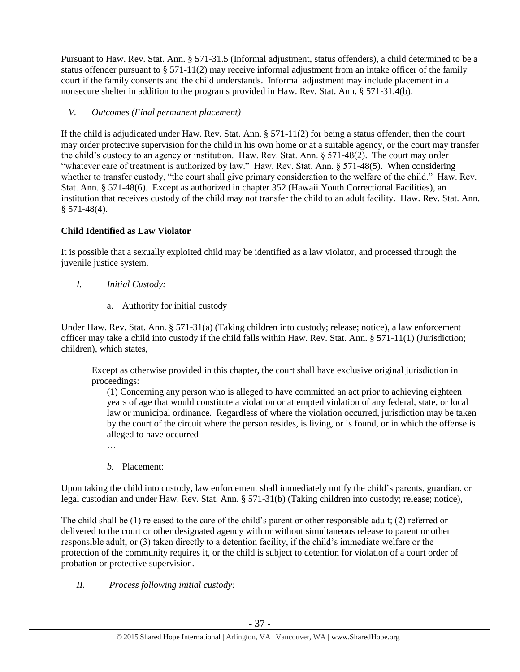Pursuant to Haw. Rev. Stat. Ann. § 571-31.5 (Informal adjustment, status offenders), a child determined to be a status offender pursuant to  $\S 571-11(2)$  may receive informal adjustment from an intake officer of the family court if the family consents and the child understands. Informal adjustment may include placement in a nonsecure shelter in addition to the programs provided in Haw. Rev. Stat. Ann. § 571-31.4(b).

# *V. Outcomes (Final permanent placement)*

If the child is adjudicated under Haw. Rev. Stat. Ann. § 571-11(2) for being a status offender, then the court may order protective supervision for the child in his own home or at a suitable agency, or the court may transfer the child's custody to an agency or institution. Haw. Rev. Stat. Ann. § 571-48(2). The court may order "whatever care of treatment is authorized by law." Haw. Rev. Stat. Ann. § 571-48(5). When considering whether to transfer custody, "the court shall give primary consideration to the welfare of the child." Haw. Rev. Stat. Ann. § 571-48(6). Except as authorized in chapter 352 (Hawaii Youth Correctional Facilities), an institution that receives custody of the child may not transfer the child to an adult facility. Haw. Rev. Stat. Ann.  $§ 571-48(4).$ 

# **Child Identified as Law Violator**

It is possible that a sexually exploited child may be identified as a law violator, and processed through the juvenile justice system.

- *I. Initial Custody:* 
	- a. Authority for initial custody

Under Haw. Rev. Stat. Ann. § 571-31(a) (Taking children into custody; release; notice), a law enforcement officer may take a child into custody if the child falls within Haw. Rev. Stat. Ann. § 571-11(1) (Jurisdiction; children), which states,

Except as otherwise provided in this chapter, the court shall have exclusive original jurisdiction in proceedings:

(1) Concerning any person who is alleged to have committed an act prior to achieving eighteen years of age that would constitute a violation or attempted violation of any federal, state, or local law or municipal ordinance. Regardless of where the violation occurred, jurisdiction may be taken by the court of the circuit where the person resides, is living, or is found, or in which the offense is alleged to have occurred

*b.* Placement:

Upon taking the child into custody, law enforcement shall immediately notify the child's parents, guardian, or legal custodian and under Haw. Rev. Stat. Ann. § 571-31(b) (Taking children into custody; release; notice),

The child shall be (1) released to the care of the child's parent or other responsible adult; (2) referred or delivered to the court or other designated agency with or without simultaneous release to parent or other responsible adult; or (3) taken directly to a detention facility, if the child's immediate welfare or the protection of the community requires it, or the child is subject to detention for violation of a court order of probation or protective supervision.

*II. Process following initial custody:*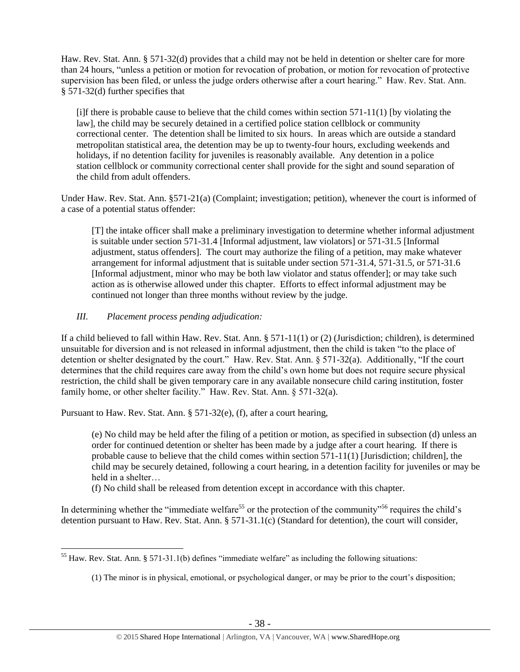Haw. Rev. Stat. Ann. § 571-32(d) provides that a child may not be held in detention or shelter care for more than 24 hours, "unless a petition or motion for revocation of probation, or motion for revocation of protective supervision has been filed, or unless the judge orders otherwise after a court hearing." Haw. Rev. Stat. Ann. § 571-32(d) further specifies that

 $[i]$ f there is probable cause to believe that the child comes within section 571-11(1) [by violating the law], the child may be securely detained in a certified police station cellblock or community correctional center. The detention shall be limited to six hours. In areas which are outside a standard metropolitan statistical area, the detention may be up to twenty-four hours, excluding weekends and holidays, if no detention facility for juveniles is reasonably available. Any detention in a police station cellblock or community correctional center shall provide for the sight and sound separation of the child from adult offenders.

Under Haw. Rev. Stat. Ann. §571-21(a) (Complaint; investigation; petition), whenever the court is informed of a case of a potential status offender:

[T] the intake officer shall make a preliminary investigation to determine whether informal adjustment is suitable under section 571-31.4 [Informal adjustment, law violators] or 571-31.5 [Informal adjustment, status offenders]. The court may authorize the filing of a petition, may make whatever arrangement for informal adjustment that is suitable under section 571-31.4, 571-31.5, or 571-31.6 [Informal adjustment, minor who may be both law violator and status offender]; or may take such action as is otherwise allowed under this chapter. Efforts to effect informal adjustment may be continued not longer than three months without review by the judge.

# *III. Placement process pending adjudication:*

If a child believed to fall within Haw. Rev. Stat. Ann. § 571-11(1) or (2) (Jurisdiction; children), is determined unsuitable for diversion and is not released in informal adjustment, then the child is taken "to the place of detention or shelter designated by the court." Haw. Rev. Stat. Ann. § 571-32(a). Additionally, "If the court determines that the child requires care away from the child's own home but does not require secure physical restriction, the child shall be given temporary care in any available nonsecure child caring institution, foster family home, or other shelter facility." Haw. Rev. Stat. Ann. § 571-32(a).

Pursuant to Haw. Rev. Stat. Ann. § 571-32(e), (f), after a court hearing,

(e) No child may be held after the filing of a petition or motion, as specified in subsection (d) unless an order for continued detention or shelter has been made by a judge after a court hearing. If there is probable cause to believe that the child comes within section 571-11(1) [Jurisdiction; children], the child may be securely detained, following a court hearing, in a detention facility for juveniles or may be held in a shelter…

(f) No child shall be released from detention except in accordance with this chapter.

In determining whether the "immediate welfare<sup>55</sup> or the protection of the community"<sup>56</sup> requires the child's detention pursuant to Haw. Rev. Stat. Ann. § 571-31.1(c) (Standard for detention), the court will consider,

 $\overline{a}$  $55$  Haw. Rev. Stat. Ann. § 571-31.1(b) defines "immediate welfare" as including the following situations:

<sup>(1)</sup> The minor is in physical, emotional, or psychological danger, or may be prior to the court's disposition;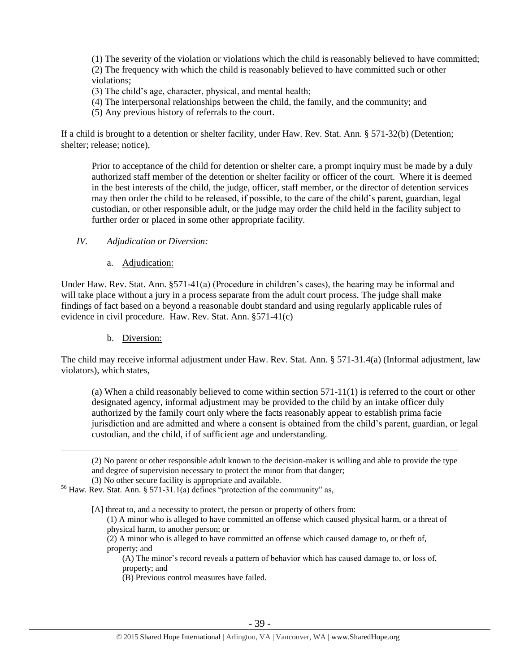(1) The severity of the violation or violations which the child is reasonably believed to have committed; (2) The frequency with which the child is reasonably believed to have committed such or other violations;

- (3) The child's age, character, physical, and mental health;
- (4) The interpersonal relationships between the child, the family, and the community; and
- (5) Any previous history of referrals to the court.

If a child is brought to a detention or shelter facility, under Haw. Rev. Stat. Ann. § 571-32(b) (Detention; shelter; release; notice),

Prior to acceptance of the child for detention or shelter care, a prompt inquiry must be made by a duly authorized staff member of the detention or shelter facility or officer of the court. Where it is deemed in the best interests of the child, the judge, officer, staff member, or the director of detention services may then order the child to be released, if possible, to the care of the child's parent, guardian, legal custodian, or other responsible adult, or the judge may order the child held in the facility subject to further order or placed in some other appropriate facility.

#### *IV. Adjudication or Diversion:*

a. Adjudication:

Under Haw. Rev. Stat. Ann. §571-41(a) (Procedure in children's cases), the hearing may be informal and will take place without a jury in a process separate from the adult court process. The judge shall make findings of fact based on a beyond a reasonable doubt standard and using regularly applicable rules of evidence in civil procedure. Haw. Rev. Stat. Ann. §571-41(c)

b. Diversion:

 $\overline{a}$ 

The child may receive informal adjustment under Haw. Rev. Stat. Ann. § 571-31.4(a) (Informal adjustment, law violators), which states,

(a) When a child reasonably believed to come within section  $571-11(1)$  is referred to the court or other designated agency, informal adjustment may be provided to the child by an intake officer duly authorized by the family court only where the facts reasonably appear to establish prima facie jurisdiction and are admitted and where a consent is obtained from the child's parent, guardian, or legal custodian, and the child, if of sufficient age and understanding.

(2) No parent or other responsible adult known to the decision-maker is willing and able to provide the type and degree of supervision necessary to protect the minor from that danger;

(3) No other secure facility is appropriate and available.

 $56$  Haw. Rev. Stat. Ann. § 571-31.1(a) defines "protection of the community" as,

[A] threat to, and a necessity to protect, the person or property of others from:

(1) A minor who is alleged to have committed an offense which caused physical harm, or a threat of physical harm, to another person; or

(2) A minor who is alleged to have committed an offense which caused damage to, or theft of, property; and

(A) The minor's record reveals a pattern of behavior which has caused damage to, or loss of, property; and

(B) Previous control measures have failed.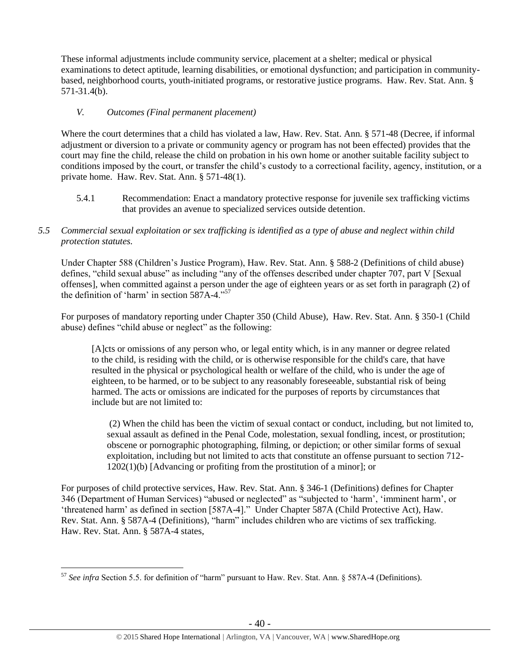These informal adjustments include community service, placement at a shelter; medical or physical examinations to detect aptitude, learning disabilities, or emotional dysfunction; and participation in communitybased, neighborhood courts, youth-initiated programs, or restorative justice programs. Haw. Rev. Stat. Ann. § 571-31.4(b).

## *V. Outcomes (Final permanent placement)*

Where the court determines that a child has violated a law, Haw. Rev. Stat. Ann. § 571-48 (Decree, if informal adjustment or diversion to a private or community agency or program has not been effected) provides that the court may fine the child, release the child on probation in his own home or another suitable facility subject to conditions imposed by the court, or transfer the child's custody to a correctional facility, agency, institution, or a private home. Haw. Rev. Stat. Ann. § 571-48(1).

5.4.1 Recommendation: Enact a mandatory protective response for juvenile sex trafficking victims that provides an avenue to specialized services outside detention.

# *5.5 Commercial sexual exploitation or sex trafficking is identified as a type of abuse and neglect within child protection statutes.*

Under Chapter 588 (Children's Justice Program), Haw. Rev. Stat. Ann. § 588-2 (Definitions of child abuse) defines, "child sexual abuse" as including "any of the offenses described under chapter 707, part V [Sexual offenses], when committed against a person under the age of eighteen years or as set forth in paragraph (2) of the definition of 'harm' in [section 587A-4.](https://a.next.westlaw.com/Link/Document/FullText?findType=L&pubNum=1000522&cite=HISTS587A-4&originatingDoc=NDB0A7CB04C5D11DDB03786E014444BA4&refType=LQ&originationContext=document&transitionType=DocumentItem&contextData=(sc.Search))"<sup>57</sup>

For purposes of mandatory reporting under Chapter 350 (Child Abuse), Haw. Rev. Stat. Ann. § 350-1 (Child abuse) defines "child abuse or neglect" as the following:

[A]cts or omissions of any person who, or legal entity which, is in any manner or degree related to the child, is residing with the child, or is otherwise responsible for the child's care, that have resulted in the physical or psychological health or welfare of the child, who is under the age of eighteen, to be harmed, or to be subject to any reasonably foreseeable, substantial risk of being harmed. The acts or omissions are indicated for the purposes of reports by circumstances that include but are not limited to:

(2) When the child has been the victim of sexual contact or conduct, including, but not limited to, sexual assault as defined in the Penal Code, molestation, sexual fondling, incest, or prostitution; obscene or pornographic photographing, filming, or depiction; or other similar forms of sexual exploitation, including but not limited to acts that constitute an offense pursuant to section 712- 1202(1)(b) [Advancing or profiting from the prostitution of a minor]; or

For purposes of child protective services, Haw. Rev. Stat. Ann. § 346-1 (Definitions) defines for Chapter 346 (Department of Human Services) "abused or neglected" as "subjected to 'harm', 'imminent harm', or 'threatened harm' as defined in section [587A-4]." Under Chapter 587A (Child Protective Act), Haw. Rev. Stat. Ann. § 587A-4 (Definitions), "harm" includes children who are victims of sex trafficking. Haw. Rev. Stat. Ann. § 587A-4 states,

 $\overline{a}$ <sup>57</sup> *See infra* Section 5.5. for definition of "harm" pursuant to Haw. Rev. Stat. Ann. § 587A-4 (Definitions).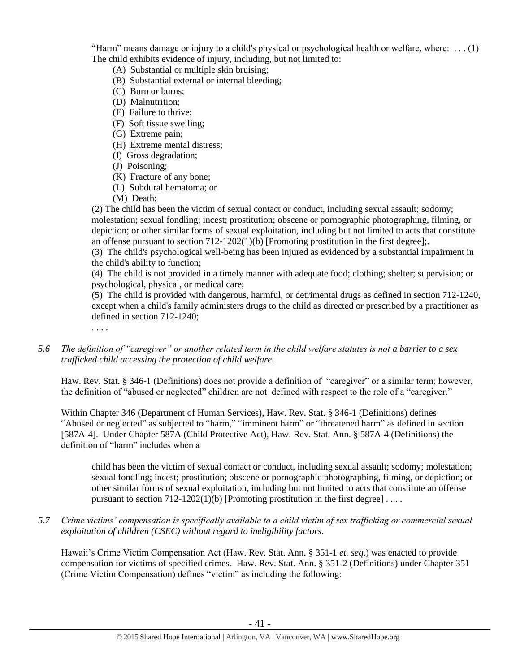"Harm" means damage or injury to a child's physical or psychological health or welfare, where:  $\dots$  (1) The child exhibits evidence of injury, including, but not limited to:

- (A) Substantial or multiple skin bruising;
- (B) Substantial external or internal bleeding;
- (C) Burn or burns;
- (D) Malnutrition;
- (E) Failure to thrive;
- (F) Soft tissue swelling;
- (G) Extreme pain;
- (H) Extreme mental distress;
- (I) Gross degradation;
- (J) Poisoning;
- (K) Fracture of any bone;
- (L) Subdural hematoma; or
- (M) Death;

(2) The child has been the victim of sexual contact or conduct, including sexual assault; sodomy; molestation; sexual fondling; incest; prostitution; obscene or pornographic photographing, filming, or depiction; or other similar forms of sexual exploitation, including but not limited to acts that constitute an offense pursuant to section  $712-1202(1)$ (b) [Promoting prostitution in the first degree];.

(3) The child's psychological well-being has been injured as evidenced by a substantial impairment in the child's ability to function;

(4) The child is not provided in a timely manner with adequate food; clothing; shelter; supervision; or psychological, physical, or medical care;

(5) The child is provided with dangerous, harmful, or detrimental drugs as defined in section 712-1240, except when a child's family administers drugs to the child as directed or prescribed by a practitioner as defined in section 712-1240;

. . . .

*5.6 The definition of "caregiver" or another related term in the child welfare statutes is not a barrier to a sex trafficked child accessing the protection of child welfare.*

Haw. Rev. Stat. § 346-1 (Definitions) does not provide a definition of "caregiver" or a similar term; however, the definition of "abused or neglected" children are not defined with respect to the role of a "caregiver."

Within Chapter 346 (Department of Human Services), Haw. Rev. Stat. § 346-1 (Definitions) defines "Abused or neglected" as subjected to "harm," "imminent harm" or "threatened harm" as defined in section [587A-4]. Under Chapter 587A (Child Protective Act), Haw. Rev. Stat. Ann. § 587A-4 (Definitions) the definition of "harm" includes when a

child has been the victim of sexual contact or conduct, including sexual assault; sodomy; molestation; sexual fondling; incest; prostitution; obscene or pornographic photographing, filming, or depiction; or other similar forms of sexual exploitation, including but not limited to acts that constitute an offense pursuant to section  $712-1202(1)(b)$  [Promoting prostitution in the first degree] ....

# *5.7 Crime victims' compensation is specifically available to a child victim of sex trafficking or commercial sexual exploitation of children (CSEC) without regard to ineligibility factors.*

Hawaii's Crime Victim Compensation Act (Haw. Rev. Stat. Ann. § 351-1 *et. seq.*) was enacted to provide compensation for victims of specified crimes. Haw. Rev. Stat. Ann. § 351-2 (Definitions) under Chapter 351 (Crime Victim Compensation) defines "victim" as including the following: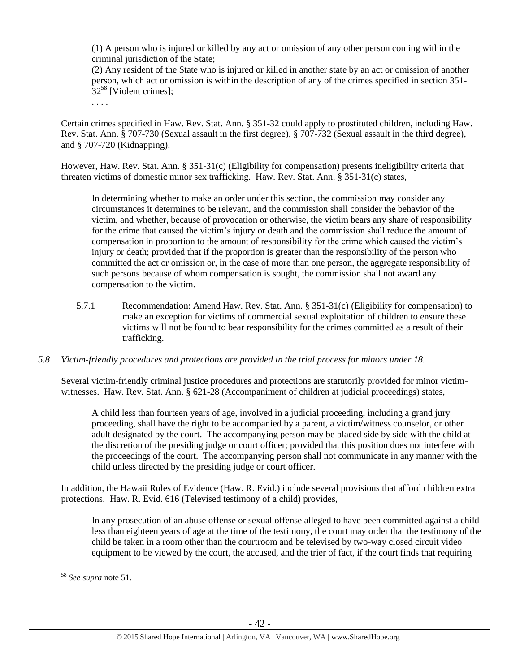(1) A person who is injured or killed by any act or omission of any other person coming within the criminal jurisdiction of the State;

(2) Any resident of the State who is injured or killed in another state by an act or omission of another person, which act or omission is within the description of any of the crimes specified in [section 351-](https://a.next.westlaw.com/Link/Document/FullText?findType=L&pubNum=1000522&cite=HISTS351-32&originatingDoc=N3C24DF804C5A11DDB03786E014444BA4&refType=LQ&originationContext=document&transitionType=DocumentItem&contextData=(sc.Search))  $32^{58}$  $32^{58}$  [Violent crimes];

Certain crimes specified in Haw. Rev. Stat. Ann. § 351-32 could apply to prostituted children, including Haw. Rev. Stat. Ann. § 707-730 (Sexual assault in the first degree), § 707-732 (Sexual assault in the third degree), and § 707-720 (Kidnapping).

However, Haw. Rev. Stat. Ann. § 351-31(c) (Eligibility for compensation) presents ineligibility criteria that threaten victims of domestic minor sex trafficking. Haw. Rev. Stat. Ann. § 351-31(c) states,

In determining whether to make an order under this section, the commission may consider any circumstances it determines to be relevant, and the commission shall consider the behavior of the victim, and whether, because of provocation or otherwise, the victim bears any share of responsibility for the crime that caused the victim's injury or death and the commission shall reduce the amount of compensation in proportion to the amount of responsibility for the crime which caused the victim's injury or death; provided that if the proportion is greater than the responsibility of the person who committed the act or omission or, in the case of more than one person, the aggregate responsibility of such persons because of whom compensation is sought, the commission shall not award any compensation to the victim.

- 5.7.1 Recommendation: Amend Haw. Rev. Stat. Ann. § 351-31(c) (Eligibility for compensation) to make an exception for victims of commercial sexual exploitation of children to ensure these victims will not be found to bear responsibility for the crimes committed as a result of their trafficking.
- *5.8 Victim-friendly procedures and protections are provided in the trial process for minors under 18.*

Several victim-friendly criminal justice procedures and protections are statutorily provided for minor victimwitnesses. Haw. Rev. Stat. Ann. § 621-28 (Accompaniment of children at judicial proceedings) states,

A child less than fourteen years of age, involved in a judicial proceeding, including a grand jury proceeding, shall have the right to be accompanied by a parent, a victim/witness counselor, or other adult designated by the court. The accompanying person may be placed side by side with the child at the discretion of the presiding judge or court officer; provided that this position does not interfere with the proceedings of the court. The accompanying person shall not communicate in any manner with the child unless directed by the presiding judge or court officer.

In addition, the Hawaii Rules of Evidence (Haw. R. Evid.) include several provisions that afford children extra protections. Haw. R. Evid. 616 (Televised testimony of a child) provides,

In any prosecution of an abuse offense or sexual offense alleged to have been committed against a child less than eighteen years of age at the time of the testimony, the court may order that the testimony of the child be taken in a room other than the courtroom and be televised by two-way closed circuit video equipment to be viewed by the court, the accused, and the trier of fact, if the court finds that requiring

 $\overline{a}$ 

. . . .

<sup>58</sup> *See supra* note [51.](#page-30-0)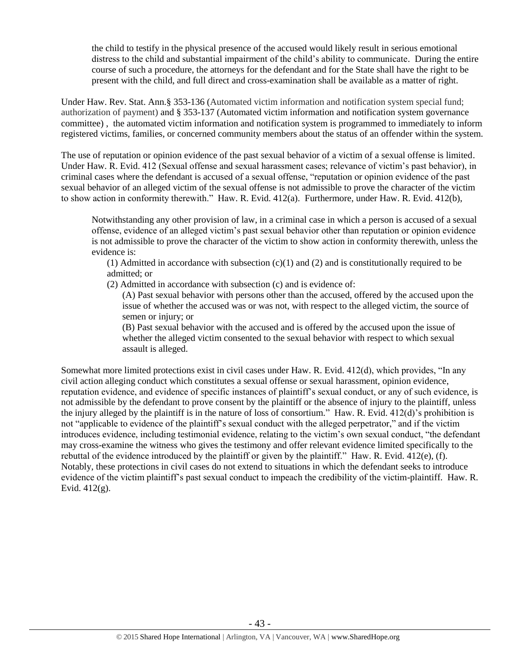the child to testify in the physical presence of the accused would likely result in serious emotional distress to the child and substantial impairment of the child's ability to communicate. During the entire course of such a procedure, the attorneys for the defendant and for the State shall have the right to be present with the child, and full direct and cross-examination shall be available as a matter of right.

Under Haw. Rev. Stat. Ann.§ 353-136 (Automated victim information and notification system special fund; authorization of payment) and § 353-137 (Automated victim information and notification system governance committee) , the automated victim information and notification system is programmed to immediately to inform registered victims, families, or concerned community members about the status of an offender within the system.

The use of reputation or opinion evidence of the past sexual behavior of a victim of a sexual offense is limited. Under Haw. R. Evid. 412 (Sexual offense and sexual harassment cases; relevance of victim's past behavior), in criminal cases where the defendant is accused of a sexual offense, "reputation or opinion evidence of the past sexual behavior of an alleged victim of the sexual offense is not admissible to prove the character of the victim to show action in conformity therewith." Haw. R. Evid. 412(a). Furthermore, under Haw. R. Evid. 412(b),

Notwithstanding any other provision of law, in a criminal case in which a person is accused of a sexual offense, evidence of an alleged victim's past sexual behavior other than reputation or opinion evidence is not admissible to prove the character of the victim to show action in conformity therewith, unless the evidence is:

(1) Admitted in accordance with subsection  $(c)(1)$  and (2) and is constitutionally required to be admitted; or

(2) Admitted in accordance with subsection (c) and is evidence of:

(A) Past sexual behavior with persons other than the accused, offered by the accused upon the issue of whether the accused was or was not, with respect to the alleged victim, the source of semen or injury; or

(B) Past sexual behavior with the accused and is offered by the accused upon the issue of whether the alleged victim consented to the sexual behavior with respect to which sexual assault is alleged.

Somewhat more limited protections exist in civil cases under Haw. R. Evid. 412(d), which provides, "In any civil action alleging conduct which constitutes a sexual offense or sexual harassment, opinion evidence, reputation evidence, and evidence of specific instances of plaintiff's sexual conduct, or any of such evidence, is not admissible by the defendant to prove consent by the plaintiff or the absence of injury to the plaintiff, unless the injury alleged by the plaintiff is in the nature of loss of consortium." Haw. R. Evid. 412(d)'s prohibition is not "applicable to evidence of the plaintiff's sexual conduct with the alleged perpetrator," and if the victim introduces evidence, including testimonial evidence, relating to the victim's own sexual conduct, "the defendant may cross-examine the witness who gives the testimony and offer relevant evidence limited specifically to the rebuttal of the evidence introduced by the plaintiff or given by the plaintiff." Haw. R. Evid. 412(e), (f). Notably, these protections in civil cases do not extend to situations in which the defendant seeks to introduce evidence of the victim plaintiff's past sexual conduct to impeach the credibility of the victim-plaintiff. Haw. R. Evid. 412(g).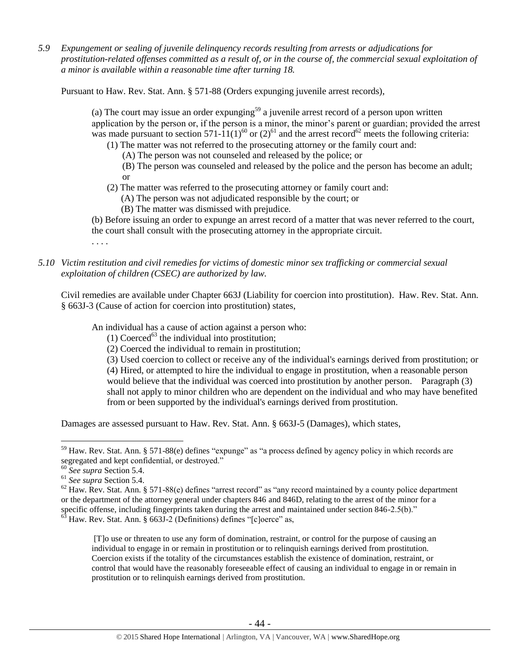*5.9 Expungement or sealing of juvenile delinquency records resulting from arrests or adjudications for prostitution-related offenses committed as a result of, or in the course of, the commercial sexual exploitation of a minor is available within a reasonable time after turning 18.*

Pursuant to Haw. Rev. Stat. Ann. § 571-88 (Orders expunging juvenile arrest records),

(a) The court may issue an order expunging $59$  a juvenile arrest record of a person upon written application by the person or, if the person is a minor, the minor's parent or guardian; provided the arrest was made pursuant to section 571-11(1)<sup>60</sup> or (2)<sup>61</sup> and the arrest record<sup>62</sup> meets the following criteria:

(1) The matter was not referred to the prosecuting attorney or the family court and:

(A) The person was not counseled and released by the police; or

(B) The person was counseled and released by the police and the person has become an adult; or

(2) The matter was referred to the prosecuting attorney or family court and:

(A) The person was not adjudicated responsible by the court; or

(B) The matter was dismissed with prejudice.

(b) Before issuing an order to expunge an arrest record of a matter that was never referred to the court, the court shall consult with the prosecuting attorney in the appropriate circuit.

. . . .

*5.10 Victim restitution and civil remedies for victims of domestic minor sex trafficking or commercial sexual exploitation of children (CSEC) are authorized by law.* 

Civil remedies are available under Chapter 663J (Liability for coercion into prostitution). Haw. Rev. Stat. Ann. § 663J-3 (Cause of action for coercion into prostitution) states,

An individual has a cause of action against a person who:

(1) Coerced<sup>63</sup> the individual into prostitution;

(2) Coerced the individual to remain in prostitution;

(3) Used coercion to collect or receive any of the individual's earnings derived from prostitution; or (4) Hired, or attempted to hire the individual to engage in prostitution, when a reasonable person would believe that the individual was coerced into prostitution by another person. Paragraph (3) shall not apply to minor children who are dependent on the individual and who may have benefited from or been supported by the individual's earnings derived from prostitution.

Damages are assessed pursuant to Haw. Rev. Stat. Ann. § 663J-5 (Damages), which states,

 $\overline{a}$ 

<sup>59</sup> Haw. Rev. Stat. Ann. § 571-88(e) defines "expunge" as "a process defined by agency policy in which records are segregated and kept confidential, or destroyed."

<sup>60</sup> *See supra* Section 5.4.

<sup>61</sup> *See supra* Section 5.4.

 $62$  Haw. Rev. Stat. Ann. § 571-88(e) defines "arrest record" as "any record maintained by a county police department or the department of the attorney general under chapters 846 and 846D, relating to the arrest of the minor for a specific offense, including fingerprints taken during the arrest and maintained under section 846-2.5(b)."  $63$  Haw. Rev. Stat. Ann. § 663J-2 (Definitions) defines "[c]oerce" as,

<sup>[</sup>T]o use or threaten to use any form of domination, restraint, or control for the purpose of causing an

individual to engage in or remain in prostitution or to relinquish earnings derived from prostitution. Coercion exists if the totality of the circumstances establish the existence of domination, restraint, or control that would have the reasonably foreseeable effect of causing an individual to engage in or remain in prostitution or to relinquish earnings derived from prostitution.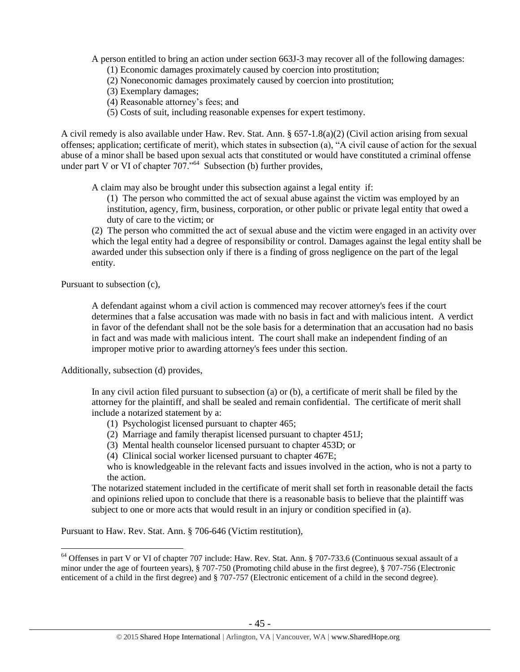A person entitled to bring an action under section 663J-3 may recover all of the following damages:

(1) Economic damages proximately caused by coercion into prostitution;

- (2) Noneconomic damages proximately caused by coercion into prostitution;
- (3) Exemplary damages;
- (4) Reasonable attorney's fees; and
- (5) Costs of suit, including reasonable expenses for expert testimony.

A civil remedy is also available under Haw. Rev. Stat. Ann. § 657-1.8(a)(2) (Civil action arising from sexual offenses; application; certificate of merit), which states in subsection (a), "A civil cause of action for the sexual abuse of a minor shall be based upon sexual acts that constituted or would have constituted a criminal offense under part V or VI of chapter  $707.^{64}$  Subsection (b) further provides,

A claim may also be brought under this subsection against a legal entity if:

(1) The person who committed the act of sexual abuse against the victim was employed by an institution, agency, firm, business, corporation, or other public or private legal entity that owed a duty of care to the victim; or

(2) The person who committed the act of sexual abuse and the victim were engaged in an activity over which the legal entity had a degree of responsibility or control. Damages against the legal entity shall be awarded under this subsection only if there is a finding of gross negligence on the part of the legal entity.

Pursuant to subsection (c),

 $\overline{a}$ 

A defendant against whom a civil action is commenced may recover attorney's fees if the court determines that a false accusation was made with no basis in fact and with malicious intent. A verdict in favor of the defendant shall not be the sole basis for a determination that an accusation had no basis in fact and was made with malicious intent. The court shall make an independent finding of an improper motive prior to awarding attorney's fees under this section.

Additionally, subsection (d) provides,

In any civil action filed pursuant to subsection (a) or (b), a certificate of merit shall be filed by the attorney for the plaintiff, and shall be sealed and remain confidential. The certificate of merit shall include a notarized statement by a:

- (1) Psychologist licensed pursuant to chapter 465;
- (2) Marriage and family therapist licensed pursuant to chapter 451J;
- (3) Mental health counselor licensed pursuant to chapter 453D; or
- (4) Clinical social worker licensed pursuant to chapter 467E;

who is knowledgeable in the relevant facts and issues involved in the action, who is not a party to the action.

The notarized statement included in the certificate of merit shall set forth in reasonable detail the facts and opinions relied upon to conclude that there is a reasonable basis to believe that the plaintiff was subject to one or more acts that would result in an injury or condition specified in (a).

Pursuant to Haw. Rev. Stat. Ann. § 706-646 (Victim restitution),

<sup>&</sup>lt;sup>64</sup> Offenses in part V or VI of chapter 707 include: Haw. Rev. Stat. Ann. § 707-733.6 (Continuous sexual assault of a minor under the age of fourteen years), § 707-750 (Promoting child abuse in the first degree), § 707-756 (Electronic enticement of a child in the first degree) and § 707-757 (Electronic enticement of a child in the second degree).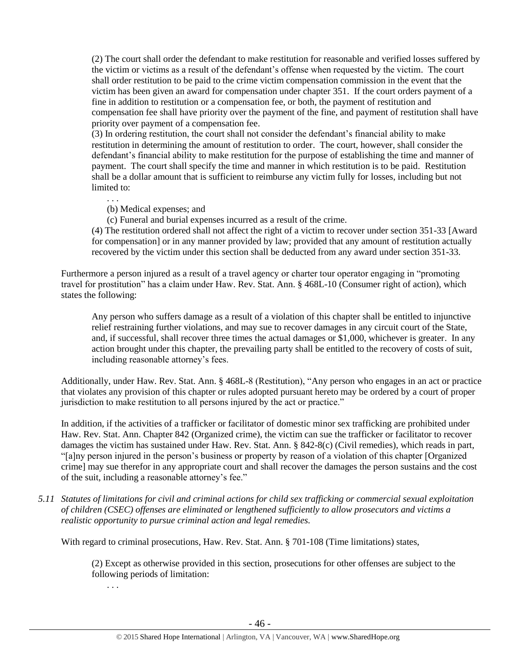(2) The court shall order the defendant to make restitution for reasonable and verified losses suffered by the victim or victims as a result of the defendant's offense when requested by the victim. The court shall order restitution to be paid to the crime victim compensation commission in the event that the victim has been given an award for compensation under chapter 351. If the court orders payment of a fine in addition to restitution or a compensation fee, or both, the payment of restitution and compensation fee shall have priority over the payment of the fine, and payment of restitution shall have priority over payment of a compensation fee.

(3) In ordering restitution, the court shall not consider the defendant's financial ability to make restitution in determining the amount of restitution to order. The court, however, shall consider the defendant's financial ability to make restitution for the purpose of establishing the time and manner of payment. The court shall specify the time and manner in which restitution is to be paid. Restitution shall be a dollar amount that is sufficient to reimburse any victim fully for losses, including but not limited to:

. . .

. . .

(b) Medical expenses; and

(c) Funeral and burial expenses incurred as a result of the crime.

(4) The restitution ordered shall not affect the right of a victim to recover under section 351-33 [Award for compensation] or in any manner provided by law; provided that any amount of restitution actually recovered by the victim under this section shall be deducted from any award under section 351-33.

Furthermore a person injured as a result of a travel agency or charter tour operator engaging in "promoting travel for prostitution" has a claim under Haw. Rev. Stat. Ann. § 468L-10 (Consumer right of action), which states the following:

Any person who suffers damage as a result of a violation of this chapter shall be entitled to injunctive relief restraining further violations, and may sue to recover damages in any circuit court of the State, and, if successful, shall recover three times the actual damages or \$1,000, whichever is greater. In any action brought under this chapter, the prevailing party shall be entitled to the recovery of costs of suit, including reasonable attorney's fees.

Additionally, under Haw. Rev. Stat. Ann. § 468L-8 (Restitution), "Any person who engages in an act or practice that violates any provision of this chapter or rules adopted pursuant hereto may be ordered by a court of proper jurisdiction to make restitution to all persons injured by the act or practice."

In addition, if the activities of a trafficker or facilitator of domestic minor sex trafficking are prohibited under Haw. Rev. Stat. Ann. Chapter 842 (Organized crime), the victim can sue the trafficker or facilitator to recover damages the victim has sustained under Haw. Rev. Stat. Ann. § 842-8(c) (Civil remedies), which reads in part, "[a]ny person injured in the person's business or property by reason of a violation of this chapter [Organized crime] may sue therefor in any appropriate court and shall recover the damages the person sustains and the cost of the suit, including a reasonable attorney's fee."

*5.11 Statutes of limitations for civil and criminal actions for child sex trafficking or commercial sexual exploitation of children (CSEC) offenses are eliminated or lengthened sufficiently to allow prosecutors and victims a realistic opportunity to pursue criminal action and legal remedies.*

With regard to criminal prosecutions, Haw. Rev. Stat. Ann. § 701-108 (Time limitations) states,

(2) Except as otherwise provided in this section, prosecutions for other offenses are subject to the following periods of limitation: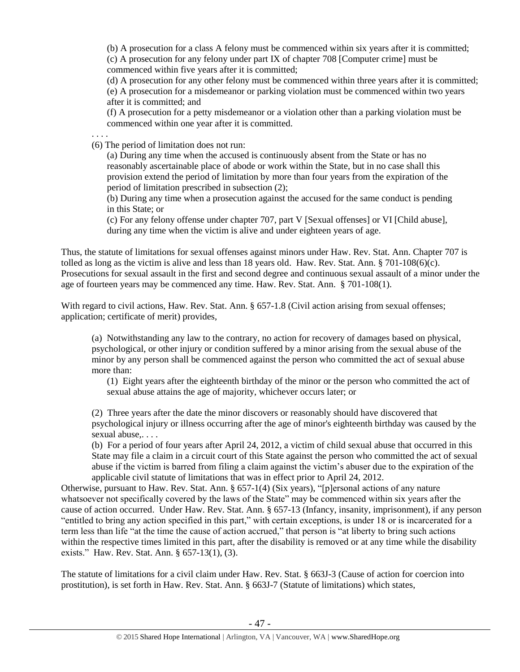(b) A prosecution for a class A felony must be commenced within six years after it is committed; (c) A prosecution for any felony under part IX of chapter 708 [Computer crime] must be commenced within five years after it is committed;

(d) A prosecution for any other felony must be commenced within three years after it is committed;

(e) A prosecution for a misdemeanor or parking violation must be commenced within two years after it is committed; and

(f) A prosecution for a petty misdemeanor or a violation other than a parking violation must be commenced within one year after it is committed.

. . . . (6) The period of limitation does not run:

> (a) During any time when the accused is continuously absent from the State or has no reasonably ascertainable place of abode or work within the State, but in no case shall this provision extend the period of limitation by more than four years from the expiration of the period of limitation prescribed in subsection (2);

(b) During any time when a prosecution against the accused for the same conduct is pending in this State; or

(c) For any felony offense under chapter 707, part V [Sexual offenses] or VI [Child abuse], during any time when the victim is alive and under eighteen years of age.

Thus, the statute of limitations for sexual offenses against minors under Haw. Rev. Stat. Ann. Chapter 707 is tolled as long as the victim is alive and less than 18 years old. Haw. Rev. Stat. Ann. § 701-108(6)(c). Prosecutions for sexual assault in the first and second degree and continuous sexual assault of a minor under the age of fourteen years may be commenced any time. Haw. Rev. Stat. Ann. § 701-108(1).

With regard to civil actions, Haw. Rev. Stat. Ann. § 657-1.8 (Civil action arising from sexual offenses; application; certificate of merit) provides,

(a) Notwithstanding any law to the contrary, no action for recovery of damages based on physical, psychological, or other injury or condition suffered by a minor arising from the sexual abuse of the minor by any person shall be commenced against the person who committed the act of sexual abuse more than:

(1) Eight years after the eighteenth birthday of the minor or the person who committed the act of sexual abuse attains the age of majority, whichever occurs later; or

(2) Three years after the date the minor discovers or reasonably should have discovered that psychological injury or illness occurring after the age of minor's eighteenth birthday was caused by the sexual abuse....

(b) For a period of four years after April 24, 2012, a victim of child sexual abuse that occurred in this State may file a claim in a circuit court of this State against the person who committed the act of sexual abuse if the victim is barred from filing a claim against the victim's abuser due to the expiration of the applicable civil statute of limitations that was in effect prior to April 24, 2012.

Otherwise, pursuant to Haw. Rev. Stat. Ann. § 657-1(4) (Six years), "[p]ersonal actions of any nature whatsoever not specifically covered by the laws of the State" may be commenced within six years after the cause of action occurred. Under Haw. Rev. Stat. Ann. § 657-13 (Infancy, insanity, imprisonment), if any person "entitled to bring any action specified in this part," with certain exceptions, is under 18 or is incarcerated for a term less than life "at the time the cause of action accrued," that person is "at liberty to bring such actions within the respective times limited in this part, after the disability is removed or at any time while the disability exists." Haw. Rev. Stat. Ann. § 657-13(1), (3).

The statute of limitations for a civil claim under Haw. Rev. Stat. § 663J-3 (Cause of action for coercion into prostitution), is set forth in Haw. Rev. Stat. Ann. § 663J-7 (Statute of limitations) which states,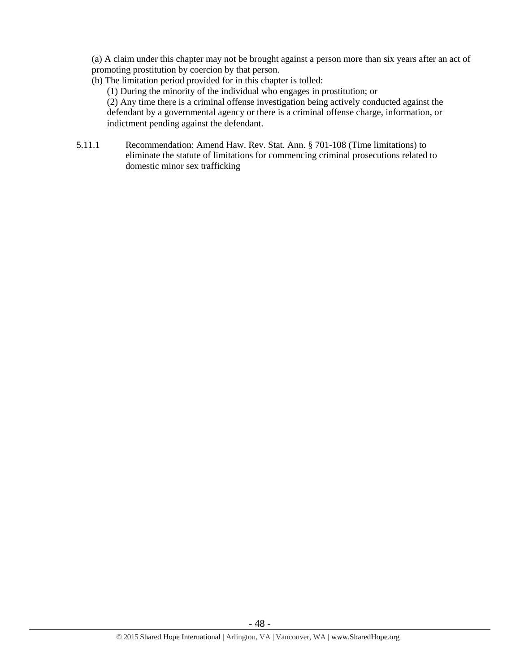(a) A claim under this chapter may not be brought against a person more than six years after an act of promoting prostitution by coercion by that person.

- (b) The limitation period provided for in this chapter is tolled: (1) During the minority of the individual who engages in prostitution; or (2) Any time there is a criminal offense investigation being actively conducted against the defendant by a governmental agency or there is a criminal offense charge, information, or indictment pending against the defendant.
- 5.11.1 Recommendation: Amend Haw. Rev. Stat. Ann. § 701-108 (Time limitations) to eliminate the statute of limitations for commencing criminal prosecutions related to domestic minor sex trafficking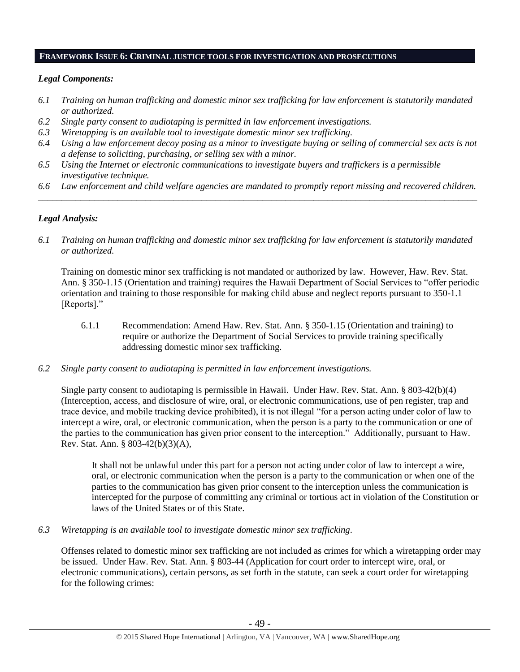#### **FRAMEWORK ISSUE 6: CRIMINAL JUSTICE TOOLS FOR INVESTIGATION AND PROSECUTIONS**

#### *Legal Components:*

- *6.1 Training on human trafficking and domestic minor sex trafficking for law enforcement is statutorily mandated or authorized.*
- *6.2 Single party consent to audiotaping is permitted in law enforcement investigations.*
- *6.3 Wiretapping is an available tool to investigate domestic minor sex trafficking.*
- *6.4 Using a law enforcement decoy posing as a minor to investigate buying or selling of commercial sex acts is not a defense to soliciting, purchasing, or selling sex with a minor.*
- *6.5 Using the Internet or electronic communications to investigate buyers and traffickers is a permissible investigative technique.*
- *6.6 Law enforcement and child welfare agencies are mandated to promptly report missing and recovered children. \_\_\_\_\_\_\_\_\_\_\_\_\_\_\_\_\_\_\_\_\_\_\_\_\_\_\_\_\_\_\_\_\_\_\_\_\_\_\_\_\_\_\_\_\_\_\_\_\_\_\_\_\_\_\_\_\_\_\_\_\_\_\_\_\_\_\_\_\_\_\_\_\_\_\_\_\_\_\_\_\_\_\_\_\_\_\_\_\_\_\_\_\_\_*

### *Legal Analysis:*

*6.1 Training on human trafficking and domestic minor sex trafficking for law enforcement is statutorily mandated or authorized.*

Training on domestic minor sex trafficking is not mandated or authorized by law. However, Haw. Rev. Stat. Ann. § 350-1.15 (Orientation and training) requires the Hawaii Department of Social Services to "offer periodic orientation and training to those responsible for making child abuse and neglect reports pursuant to 350-1.1 [Reports]."

- 6.1.1 Recommendation: Amend Haw. Rev. Stat. Ann. § 350-1.15 (Orientation and training) to require or authorize the Department of Social Services to provide training specifically addressing domestic minor sex trafficking.
- *6.2 Single party consent to audiotaping is permitted in law enforcement investigations.*

Single party consent to audiotaping is permissible in Hawaii. Under Haw. Rev. Stat. Ann. § 803-42(b)(4) (Interception, access, and disclosure of wire, oral, or electronic communications, use of pen register, trap and trace device, and mobile tracking device prohibited), it is not illegal "for a person acting under color of law to intercept a wire, oral, or electronic communication, when the person is a party to the communication or one of the parties to the communication has given prior consent to the interception." Additionally, pursuant to Haw. Rev. Stat. Ann. § 803-42(b)(3)(A),

It shall not be unlawful under this part for a person not acting under color of law to intercept a wire, oral, or electronic communication when the person is a party to the communication or when one of the parties to the communication has given prior consent to the interception unless the communication is intercepted for the purpose of committing any criminal or tortious act in violation of the Constitution or laws of the United States or of this State.

*6.3 Wiretapping is an available tool to investigate domestic minor sex trafficking.* 

Offenses related to domestic minor sex trafficking are not included as crimes for which a wiretapping order may be issued. Under Haw. Rev. Stat. Ann. § 803-44 (Application for court order to intercept wire, oral, or electronic communications), certain persons, as set forth in the statute, can seek a court order for wiretapping for the following crimes: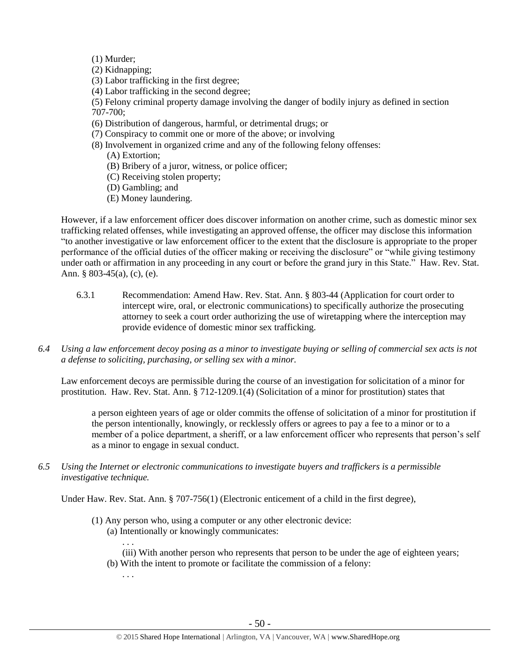- (1) Murder;
- (2) Kidnapping;
- (3) Labor trafficking in the first degree;
- (4) Labor trafficking in the second degree;
- (5) Felony criminal property damage involving the danger of bodily injury as defined in section 707-700;
- (6) Distribution of dangerous, harmful, or detrimental drugs; or
- (7) Conspiracy to commit one or more of the above; or involving
- (8) Involvement in organized crime and any of the following felony offenses:
	- (A) Extortion;
	- (B) Bribery of a juror, witness, or police officer;
	- (C) Receiving stolen property;
	- (D) Gambling; and
	- (E) Money laundering.

However, if a law enforcement officer does discover information on another crime, such as domestic minor sex trafficking related offenses, while investigating an approved offense, the officer may disclose this information "to another investigative or law enforcement officer to the extent that the disclosure is appropriate to the proper performance of the official duties of the officer making or receiving the disclosure" or "while giving testimony under oath or affirmation in any proceeding in any court or before the grand jury in this State." Haw. Rev. Stat. Ann. § 803-45(a), (c), (e).

- 6.3.1 Recommendation: Amend Haw. Rev. Stat. Ann. § 803-44 (Application for court order to intercept wire, oral, or electronic communications) to specifically authorize the prosecuting attorney to seek a court order authorizing the use of wiretapping where the interception may provide evidence of domestic minor sex trafficking.
- *6.4 Using a law enforcement decoy posing as a minor to investigate buying or selling of commercial sex acts is not a defense to soliciting, purchasing, or selling sex with a minor.*

Law enforcement decoys are permissible during the course of an investigation for solicitation of a minor for prostitution. Haw. Rev. Stat. Ann. § 712-1209.1(4) (Solicitation of a minor for prostitution) states that

a person eighteen years of age or older commits the offense of solicitation of a minor for prostitution if the person intentionally, knowingly, or recklessly offers or agrees to pay a fee to a minor or to a member of a police department, a sheriff, or a law enforcement officer who represents that person's self as a minor to engage in sexual conduct.

*6.5 Using the Internet or electronic communications to investigate buyers and traffickers is a permissible investigative technique.*

Under Haw. Rev. Stat. Ann. § 707-756(1) (Electronic enticement of a child in the first degree),

- (1) Any person who, using a computer or any other electronic device: (a) Intentionally or knowingly communicates:
	- (iii) With another person who represents that person to be under the age of eighteen years; (b) With the intent to promote or facilitate the commission of a felony:

. . .

. . .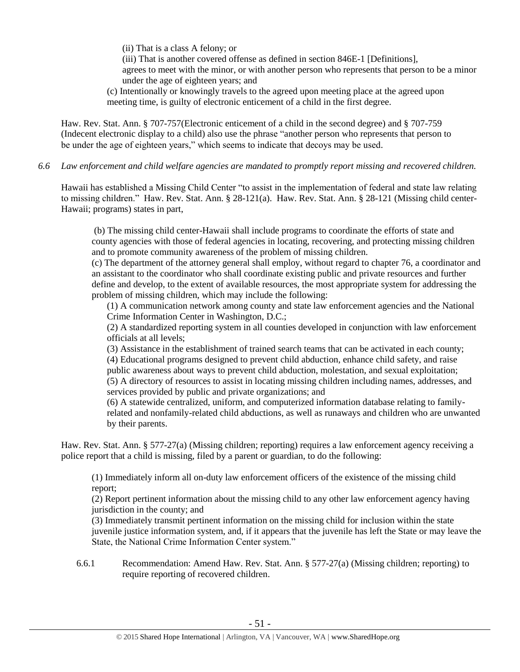(ii) That is a class A felony; or

(iii) That is another covered offense as defined in section 846E-1 [Definitions], agrees to meet with the minor, or with another person who represents that person to be a minor under the age of eighteen years; and

(c) Intentionally or knowingly travels to the agreed upon meeting place at the agreed upon meeting time, is guilty of electronic enticement of a child in the first degree.

Haw. Rev. Stat. Ann. § 707-757(Electronic enticement of a child in the second degree) and § 707-759 (Indecent electronic display to a child) also use the phrase "another person who represents that person to be under the age of eighteen years," which seems to indicate that decoys may be used.

*6.6 Law enforcement and child welfare agencies are mandated to promptly report missing and recovered children.*

Hawaii has established a Missing Child Center "to assist in the implementation of federal and state law relating to missing children." Haw. Rev. Stat. Ann. § 28-121(a). Haw. Rev. Stat. Ann. § 28-121 (Missing child center-Hawaii; programs) states in part,

(b) The missing child center-Hawaii shall include programs to coordinate the efforts of state and county agencies with those of federal agencies in locating, recovering, and protecting missing children and to promote community awareness of the problem of missing children.

(c) The department of the attorney general shall employ, without regard to chapter 76, a coordinator and an assistant to the coordinator who shall coordinate existing public and private resources and further define and develop, to the extent of available resources, the most appropriate system for addressing the problem of missing children, which may include the following:

(1) A communication network among county and state law enforcement agencies and the National Crime Information Center in Washington, D.C.;

(2) A standardized reporting system in all counties developed in conjunction with law enforcement officials at all levels;

(3) Assistance in the establishment of trained search teams that can be activated in each county; (4) Educational programs designed to prevent child abduction, enhance child safety, and raise public awareness about ways to prevent child abduction, molestation, and sexual exploitation;

(5) A directory of resources to assist in locating missing children including names, addresses, and services provided by public and private organizations; and

(6) A statewide centralized, uniform, and computerized information database relating to familyrelated and nonfamily-related child abductions, as well as runaways and children who are unwanted by their parents.

Haw. Rev. Stat. Ann. § 577-27(a) (Missing children; reporting) requires a law enforcement agency receiving a police report that a child is missing, filed by a parent or guardian, to do the following:

(1) Immediately inform all on-duty law enforcement officers of the existence of the missing child report;

(2) Report pertinent information about the missing child to any other law enforcement agency having jurisdiction in the county; and

(3) Immediately transmit pertinent information on the missing child for inclusion within the state juvenile justice information system, and, if it appears that the juvenile has left the State or may leave the State, the National Crime Information Center system."

6.6.1 Recommendation: Amend Haw. Rev. Stat. Ann. § 577-27(a) (Missing children; reporting) to require reporting of recovered children.